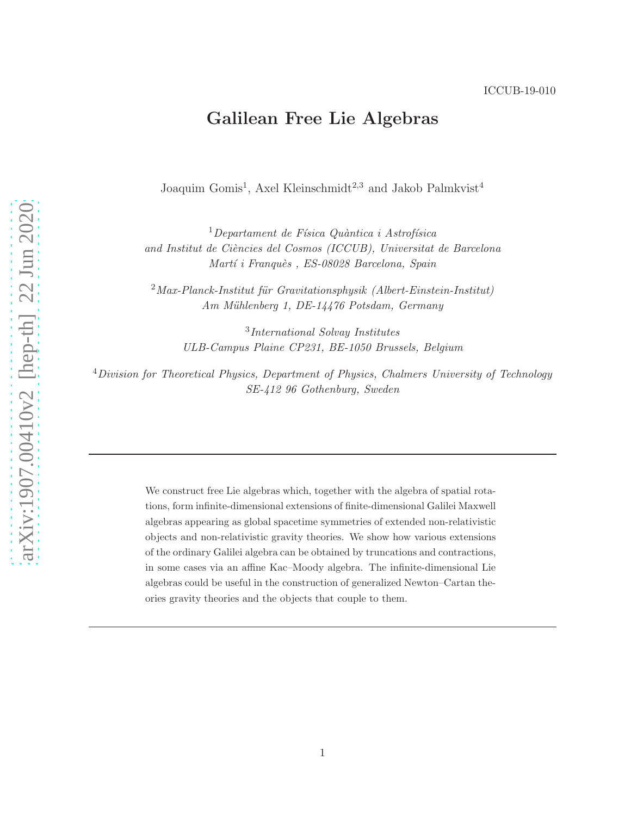# Galilean Free Lie Algebras

Joaquim Gomis<sup>1</sup>, Axel Kleinschmidt<sup>2,3</sup> and Jakob Palmkvist<sup>4</sup>

 $1$ Departament de Física Quàntica i Astrofísica and Institut de Ciències del Cosmos (ICCUB), Universitat de Barcelona Martí i Franquès, ES-08028 Barcelona, Spain

 $2$ Max-Planck-Institut für Gravitationsphysik (Albert-Einstein-Institut) Am Mühlenberg 1, DE-14476 Potsdam, Germany

3 International Solvay Institutes ULB-Campus Plaine CP231, BE-1050 Brussels, Belgium

 $4$ Division for Theoretical Physics, Department of Physics, Chalmers University of Technology SE-412 96 Gothenburg, Sweden

> We construct free Lie algebras which, together with the algebra of spatial rotations, form infinite-dimensional extensions of finite-dimensional Galilei Maxwell algebras appearing as global spacetime symmetries of extended non-relativistic objects and non-relativistic gravity theories. We show how various extensions of the ordinary Galilei algebra can be obtained by truncations and contractions, in some cases via an affine Kac–Moody algebra. The infinite-dimensional Lie algebras could be useful in the construction of generalized Newton–Cartan theories gravity theories and the objects that couple to them.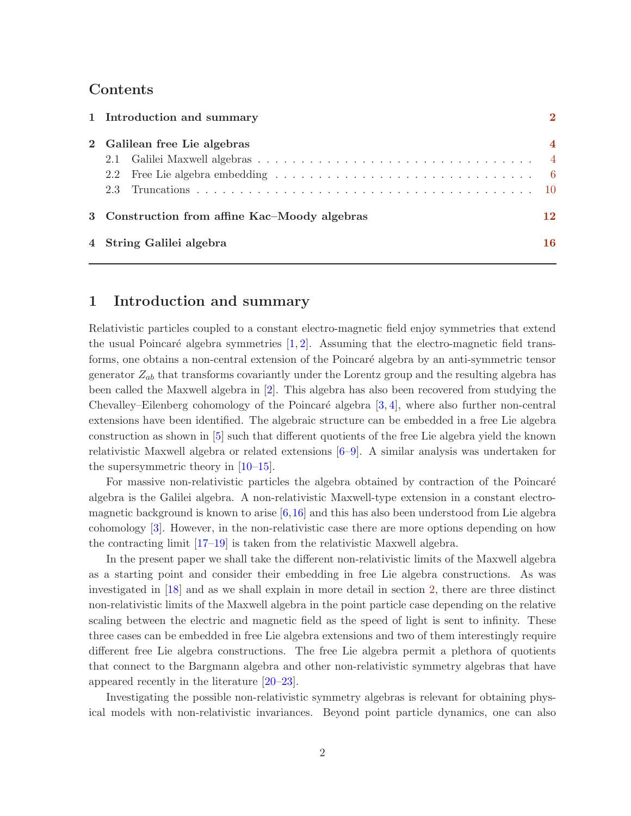# Contents

| 1 Introduction and summary                    |                |  |  |  |  |  |  |
|-----------------------------------------------|----------------|--|--|--|--|--|--|
| 2 Galilean free Lie algebras                  | $\overline{4}$ |  |  |  |  |  |  |
|                                               |                |  |  |  |  |  |  |
|                                               |                |  |  |  |  |  |  |
|                                               |                |  |  |  |  |  |  |
| 3 Construction from affine Kac–Moody algebras | 12             |  |  |  |  |  |  |
| 4 String Galilei algebra                      | 16             |  |  |  |  |  |  |

### <span id="page-1-0"></span>1 Introduction and summary

Relativistic particles coupled to a constant electro-magnetic field enjoy symmetries that extend the usual Poincaré algebra symmetries  $[1, 2]$  $[1, 2]$ . Assuming that the electro-magnetic field transforms, one obtains a non-central extension of the Poincaré algebra by an anti-symmetric tensor generator  $Z_{ab}$  that transforms covariantly under the Lorentz group and the resulting algebra has been called the Maxwell algebra in [\[2\]](#page-17-1). This algebra has also been recovered from studying the Chevalley–Eilenberg cohomology of the Poincaré algebra  $[3, 4]$  $[3, 4]$ , where also further non-central extensions have been identified. The algebraic structure can be embedded in a free Lie algebra construction as shown in [\[5\]](#page-17-4) such that different quotients of the free Lie algebra yield the known relativistic Maxwell algebra or related extensions [\[6](#page-17-5)[–9\]](#page-17-6). A similar analysis was undertaken for the supersymmetric theory in [\[10](#page-17-7)[–15\]](#page-18-0).

For massive non-relativistic particles the algebra obtained by contraction of the Poincaré algebra is the Galilei algebra. A non-relativistic Maxwell-type extension in a constant electromagnetic background is known to arise  $[6,16]$  $[6,16]$  and this has also been understood from Lie algebra cohomology [\[3\]](#page-17-2). However, in the non-relativistic case there are more options depending on how the contracting limit [\[17](#page-18-2)[–19\]](#page-18-3) is taken from the relativistic Maxwell algebra.

In the present paper we shall take the different non-relativistic limits of the Maxwell algebra as a starting point and consider their embedding in free Lie algebra constructions. As was investigated in [\[18\]](#page-18-4) and as we shall explain in more detail in section [2,](#page-3-0) there are three distinct non-relativistic limits of the Maxwell algebra in the point particle case depending on the relative scaling between the electric and magnetic field as the speed of light is sent to infinity. These three cases can be embedded in free Lie algebra extensions and two of them interestingly require different free Lie algebra constructions. The free Lie algebra permit a plethora of quotients that connect to the Bargmann algebra and other non-relativistic symmetry algebras that have appeared recently in the literature [\[20](#page-18-5)[–23\]](#page-18-6).

Investigating the possible non-relativistic symmetry algebras is relevant for obtaining physical models with non-relativistic invariances. Beyond point particle dynamics, one can also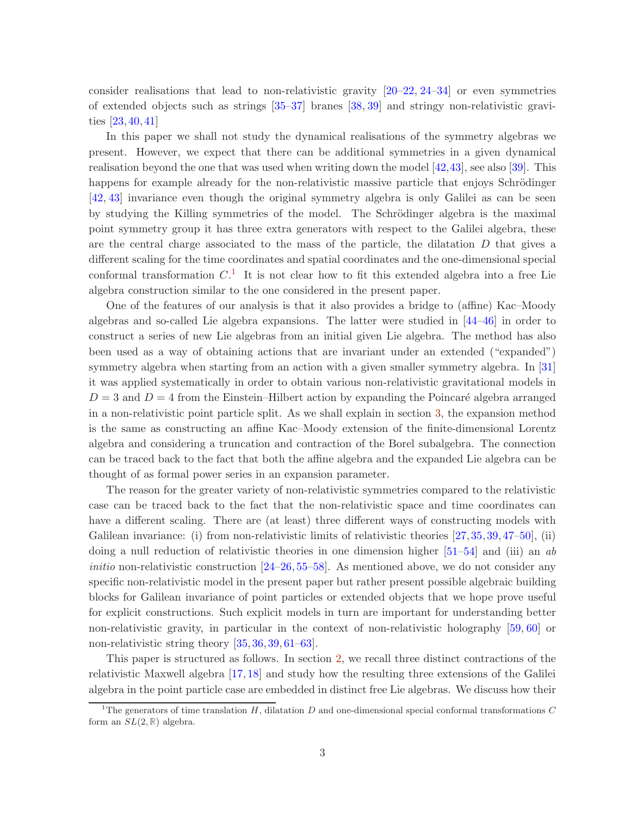consider realisations that lead to non-relativistic gravity  $[20-22, 24-34]$  $[20-22, 24-34]$  $[20-22, 24-34]$  $[20-22, 24-34]$  or even symmetries of extended objects such as strings [\[35](#page-19-1)[–37\]](#page-19-2) branes [\[38,](#page-19-3) [39\]](#page-19-4) and stringy non-relativistic gravities [\[23,](#page-18-6) [40,](#page-19-5) [41\]](#page-19-6)

In this paper we shall not study the dynamical realisations of the symmetry algebras we present. However, we expect that there can be additional symmetries in a given dynamical realisation beyond the one that was used when writing down the model [\[42,](#page-19-7)[43\]](#page-19-8), see also [\[39\]](#page-19-4). This happens for example already for the non-relativistic massive particle that enjoys Schrödinger [\[42,](#page-19-7) [43\]](#page-19-8) invariance even though the original symmetry algebra is only Galilei as can be seen by studying the Killing symmetries of the model. The Schrödinger algebra is the maximal point symmetry group it has three extra generators with respect to the Galilei algebra, these are the central charge associated to the mass of the particle, the dilatation  $D$  that gives a different scaling for the time coordinates and spatial coordinates and the one-dimensional special conformal transformation  $C<sup>1</sup>$  $C<sup>1</sup>$  $C<sup>1</sup>$ . It is not clear how to fit this extended algebra into a free Lie algebra construction similar to the one considered in the present paper.

One of the features of our analysis is that it also provides a bridge to (affine) Kac–Moody algebras and so-called Lie algebra expansions. The latter were studied in [\[44–](#page-19-9)[46\]](#page-20-0) in order to construct a series of new Lie algebras from an initial given Lie algebra. The method has also been used as a way of obtaining actions that are invariant under an extended ("expanded") symmetry algebra when starting from an action with a given smaller symmetry algebra. In [\[31\]](#page-19-10) it was applied systematically in order to obtain various non-relativistic gravitational models in  $D = 3$  and  $D = 4$  from the Einstein–Hilbert action by expanding the Poincaré algebra arranged in a non-relativistic point particle split. As we shall explain in section [3,](#page-11-0) the expansion method is the same as constructing an affine Kac–Moody extension of the finite-dimensional Lorentz algebra and considering a truncation and contraction of the Borel subalgebra. The connection can be traced back to the fact that both the affine algebra and the expanded Lie algebra can be thought of as formal power series in an expansion parameter.

The reason for the greater variety of non-relativistic symmetries compared to the relativistic case can be traced back to the fact that the non-relativistic space and time coordinates can have a different scaling. There are (at least) three different ways of constructing models with Galilean invariance: (i) from non-relativistic limits of relativistic theories  $(27, 35, 39, 47-50)$  $(27, 35, 39, 47-50)$  $(27, 35, 39, 47-50)$  $(27, 35, 39, 47-50)$  $(27, 35, 39, 47-50)$  $(27, 35, 39, 47-50)$  $(27, 35, 39, 47-50)$ , (ii) doing a null reduction of relativistic theories in one dimension higher [\[51](#page-20-3)[–54\]](#page-20-4) and (iii) an ab *initio* non-relativistic construction  $[24–26, 55–58]$  $[24–26, 55–58]$  $[24–26, 55–58]$  $[24–26, 55–58]$  $[24–26, 55–58]$ . As mentioned above, we do not consider any specific non-relativistic model in the present paper but rather present possible algebraic building blocks for Galilean invariance of point particles or extended objects that we hope prove useful for explicit constructions. Such explicit models in turn are important for understanding better non-relativistic gravity, in particular in the context of non-relativistic holography [\[59,](#page-20-7) [60\]](#page-20-8) or non-relativistic string theory [\[35,](#page-19-1) [36,](#page-19-11) [39,](#page-19-4) [61](#page-20-9)[–63\]](#page-21-0).

This paper is structured as follows. In section [2,](#page-3-0) we recall three distinct contractions of the relativistic Maxwell algebra [\[17,](#page-18-2) [18\]](#page-18-4) and study how the resulting three extensions of the Galilei algebra in the point particle case are embedded in distinct free Lie algebras. We discuss how their

<span id="page-2-0"></span><sup>&</sup>lt;sup>1</sup>The generators of time translation H, dilatation D and one-dimensional special conformal transformations C form an  $SL(2, \mathbb{R})$  algebra.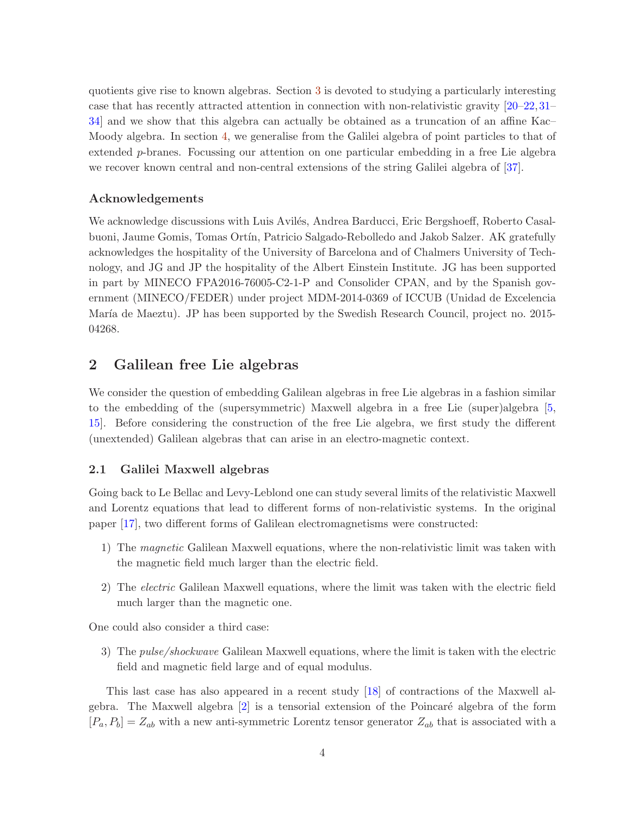quotients give rise to known algebras. Section [3](#page-11-0) is devoted to studying a particularly interesting case that has recently attracted attention in connection with non-relativistic gravity [\[20](#page-18-5)[–22,](#page-18-7)[31–](#page-19-10) [34\]](#page-19-0) and we show that this algebra can actually be obtained as a truncation of an affine Kac– Moody algebra. In section [4,](#page-15-0) we generalise from the Galilei algebra of point particles to that of extended p-branes. Focussing our attention on one particular embedding in a free Lie algebra we recover known central and non-central extensions of the string Galilei algebra of [\[37\]](#page-19-2).

### Acknowledgements

We acknowledge discussions with Luis Avilés, Andrea Barducci, Eric Bergshoeff, Roberto Casalbuoni, Jaume Gomis, Tomas Ort´ın, Patricio Salgado-Rebolledo and Jakob Salzer. AK gratefully acknowledges the hospitality of the University of Barcelona and of Chalmers University of Technology, and JG and JP the hospitality of the Albert Einstein Institute. JG has been supported in part by MINECO FPA2016-76005-C2-1-P and Consolider CPAN, and by the Spanish government (MINECO/FEDER) under project MDM-2014-0369 of ICCUB (Unidad de Excelencia María de Maeztu). JP has been supported by the Swedish Research Council, project no. 2015-04268.

## <span id="page-3-0"></span>2 Galilean free Lie algebras

We consider the question of embedding Galilean algebras in free Lie algebras in a fashion similar to the embedding of the (supersymmetric) Maxwell algebra in a free Lie (super)algebra [\[5,](#page-17-4) [15\]](#page-18-0). Before considering the construction of the free Lie algebra, we first study the different (unextended) Galilean algebras that can arise in an electro-magnetic context.

### <span id="page-3-1"></span>2.1 Galilei Maxwell algebras

Going back to Le Bellac and Levy-Leblond one can study several limits of the relativistic Maxwell and Lorentz equations that lead to different forms of non-relativistic systems. In the original paper [\[17\]](#page-18-2), two different forms of Galilean electromagnetisms were constructed:

- 1) The magnetic Galilean Maxwell equations, where the non-relativistic limit was taken with the magnetic field much larger than the electric field.
- 2) The electric Galilean Maxwell equations, where the limit was taken with the electric field much larger than the magnetic one.

One could also consider a third case:

3) The pulse/shockwave Galilean Maxwell equations, where the limit is taken with the electric field and magnetic field large and of equal modulus.

This last case has also appeared in a recent study [\[18\]](#page-18-4) of contractions of the Maxwell algebra. The Maxwell algebra  $[2]$  is a tensorial extension of the Poincaré algebra of the form  $[P_a, P_b] = Z_{ab}$  with a new anti-symmetric Lorentz tensor generator  $Z_{ab}$  that is associated with a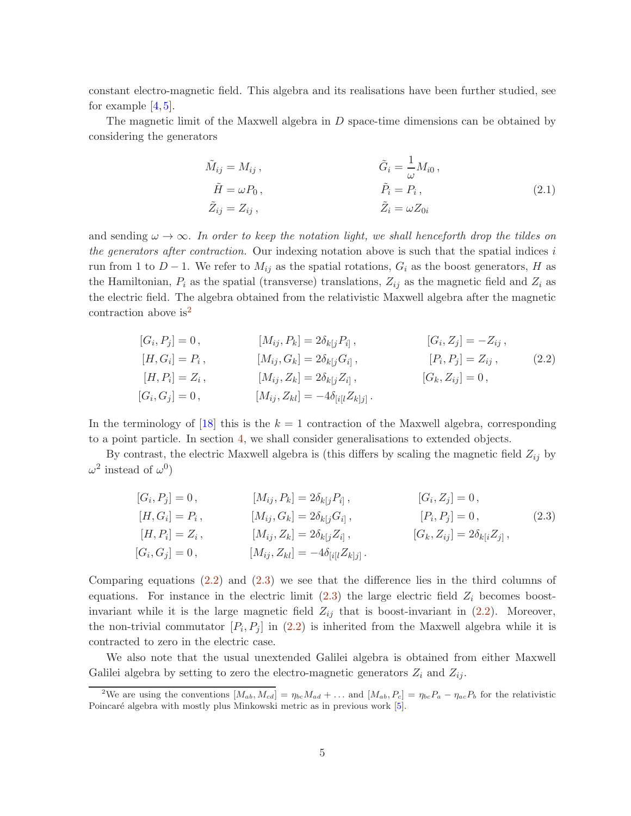constant electro-magnetic field. This algebra and its realisations have been further studied, see for example  $[4, 5]$  $[4, 5]$ .

The magnetic limit of the Maxwell algebra in D space-time dimensions can be obtained by considering the generators

<span id="page-4-3"></span><span id="page-4-1"></span>
$$
\tilde{M}_{ij} = M_{ij}, \qquad \tilde{G}_i = \frac{1}{\omega} M_{i0}, \n\tilde{H} = \omega P_0, \qquad \tilde{P}_i = P_i, \n\tilde{Z}_{ij} = Z_{ij}, \qquad \tilde{Z}_i = \omega Z_{0i}
$$
\n(2.1)

and sending  $\omega \to \infty$ . In order to keep the notation light, we shall henceforth drop the tildes on the generators after contraction. Our indexing notation above is such that the spatial indices  $i$ run from 1 to  $D-1$ . We refer to  $M_{ij}$  as the spatial rotations,  $G_i$  as the boost generators, H as the Hamiltonian,  $P_i$  as the spatial (transverse) translations,  $Z_{ij}$  as the magnetic field and  $Z_i$  as the electric field. The algebra obtained from the relativistic Maxwell algebra after the magnetic contraction above  $is^2$  $is^2$ 

$$
[G_i, P_j] = 0, \t [M_{ij}, P_k] = 2\delta_{k[j} P_{i]}, \t [G_i, Z_j] = -Z_{ij},
$$
  
\n
$$
[H, G_i] = P_i, \t [M_{ij}, G_k] = 2\delta_{k[j} G_{i]}, \t [P_i, P_j] = Z_{ij},
$$
  
\n
$$
[H, P_i] = Z_i, \t [M_{ij}, Z_k] = 2\delta_{k[j} Z_{i]}, \t [G_k, Z_{ij}] = 0,
$$
  
\n
$$
[G_i, G_j] = 0, \t [M_{ij}, Z_{kl}] = -4\delta_{[i[l} Z_{k]j]}.
$$
\n(2.2)

In the terminology of [\[18\]](#page-18-4) this is the  $k = 1$  contraction of the Maxwell algebra, corresponding to a point particle. In section [4,](#page-15-0) we shall consider generalisations to extended objects.

By contrast, the electric Maxwell algebra is (this differs by scaling the magnetic field  $Z_{ij}$  by  $\omega^2$  instead of  $\omega^0$ )

<span id="page-4-2"></span>
$$
[G_i, P_j] = 0, \t [M_{ij}, P_k] = 2\delta_{k[j} P_{i]}, \t [G_i, Z_j] = 0, [H, G_i] = P_i, \t [M_{ij}, G_k] = 2\delta_{k[j} G_{i]}, \t [P_i, P_j] = 0, [H, P_i] = Z_i, \t [M_{ij}, Z_k] = 2\delta_{k[j} Z_{i]}, \t [G_k, Z_{ij}] = 2\delta_{k[i} Z_{j]}, [G_i, G_j] = 0, \t [M_{ij}, Z_{kl}] = -4\delta_{[i[l} Z_{k]j]}.
$$
\n(2.3)

Comparing equations [\(2.2\)](#page-4-1) and [\(2.3\)](#page-4-2) we see that the difference lies in the third columns of equations. For instance in the electric limit  $(2.3)$  the large electric field  $Z_i$  becomes boostinvariant while it is the large magnetic field  $Z_{ij}$  that is boost-invariant in [\(2.2\)](#page-4-1). Moreover, the non-trivial commutator  $[P_i, P_j]$  in  $(2.2)$  is inherited from the Maxwell algebra while it is contracted to zero in the electric case.

We also note that the usual unextended Galilei algebra is obtained from either Maxwell Galilei algebra by setting to zero the electro-magnetic generators  $Z_i$  and  $Z_{ij}$ .

<span id="page-4-0"></span><sup>&</sup>lt;sup>2</sup>We are using the conventions  $[M_{ab}, M_{cd}] = \eta_{bc} M_{ad} + \dots$  and  $[M_{ab}, P_c] = \eta_{bc} P_a - \eta_{ac} P_b$  for the relativistic Poincaré algebra with mostly plus Minkowski metric as in previous work [\[5\]](#page-17-4).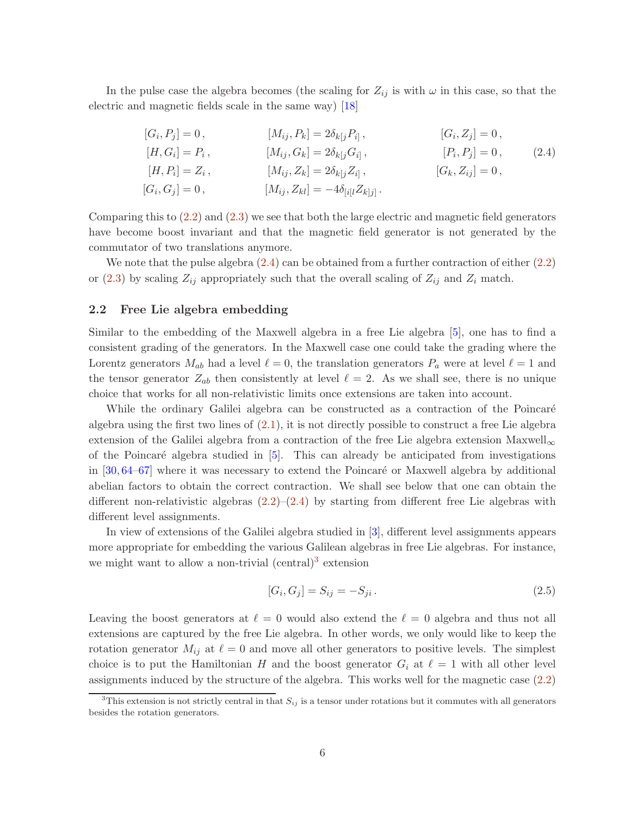In the pulse case the algebra becomes (the scaling for  $Z_{ij}$  is with  $\omega$  in this case, so that the electric and magnetic fields scale in the same way) [\[18\]](#page-18-4)

<span id="page-5-1"></span>
$$
[G_i, P_j] = 0, \t [M_{ij}, P_k] = 2\delta_{k[j}P_{i]}, \t [G_i, Z_j] = 0, [H, G_i] = P_i, \t [M_{ij}, G_k] = 2\delta_{k[j}G_{i]}, \t [P_i, P_j] = 0, [H, P_i] = Z_i, \t [M_{ij}, Z_k] = 2\delta_{k[j}Z_{i]}, \t [G_k, Z_{ij}] = 0, [G_i, G_j] = 0, \t [M_{ij}, Z_{kl}] = -4\delta_{[i[l]}Z_{k|j]}.
$$
\n(2.4)

Comparing this to  $(2.2)$  and  $(2.3)$  we see that both the large electric and magnetic field generators have become boost invariant and that the magnetic field generator is not generated by the commutator of two translations anymore.

We note that the pulse algebra  $(2.4)$  can be obtained from a further contraction of either  $(2.2)$ or [\(2.3\)](#page-4-2) by scaling  $Z_{ij}$  appropriately such that the overall scaling of  $Z_{ij}$  and  $Z_i$  match.

#### <span id="page-5-0"></span>2.2 Free Lie algebra embedding

Similar to the embedding of the Maxwell algebra in a free Lie algebra [\[5\]](#page-17-4), one has to find a consistent grading of the generators. In the Maxwell case one could take the grading where the Lorentz generators  $M_{ab}$  had a level  $\ell = 0$ , the translation generators  $P_a$  were at level  $\ell = 1$  and the tensor generator  $Z_{ab}$  then consistently at level  $\ell = 2$ . As we shall see, there is no unique choice that works for all non-relativistic limits once extensions are taken into account.

While the ordinary Galilei algebra can be constructed as a contraction of the Poincaré algebra using the first two lines of  $(2.1)$ , it is not directly possible to construct a free Lie algebra extension of the Galilei algebra from a contraction of the free Lie algebra extension Maxwell<sub>∞</sub> of the Poincaré algebra studied in  $[5]$ . This can already be anticipated from investigations in  $[30, 64-67]$  $[30, 64-67]$  $[30, 64-67]$  where it was necessary to extend the Poincaré or Maxwell algebra by additional abelian factors to obtain the correct contraction. We shall see below that one can obtain the different non-relativistic algebras  $(2.2)$ – $(2.4)$  by starting from different free Lie algebras with different level assignments.

In view of extensions of the Galilei algebra studied in [\[3\]](#page-17-2), different level assignments appears more appropriate for embedding the various Galilean algebras in free Lie algebras. For instance, we might want to allow a non-trivial (central)<sup>[3](#page-5-2)</sup> extension

$$
[G_i, G_j] = S_{ij} = -S_{ji}.
$$
\n(2.5)

Leaving the boost generators at  $\ell = 0$  would also extend the  $\ell = 0$  algebra and thus not all extensions are captured by the free Lie algebra. In other words, we only would like to keep the rotation generator  $M_{ij}$  at  $\ell = 0$  and move all other generators to positive levels. The simplest choice is to put the Hamiltonian H and the boost generator  $G_i$  at  $\ell = 1$  with all other level assignments induced by the structure of the algebra. This works well for the magnetic case [\(2.2\)](#page-4-1)

<span id="page-5-2"></span><sup>&</sup>lt;sup>3</sup>This extension is not strictly central in that  $S_{ij}$  is a tensor under rotations but it commutes with all generators besides the rotation generators.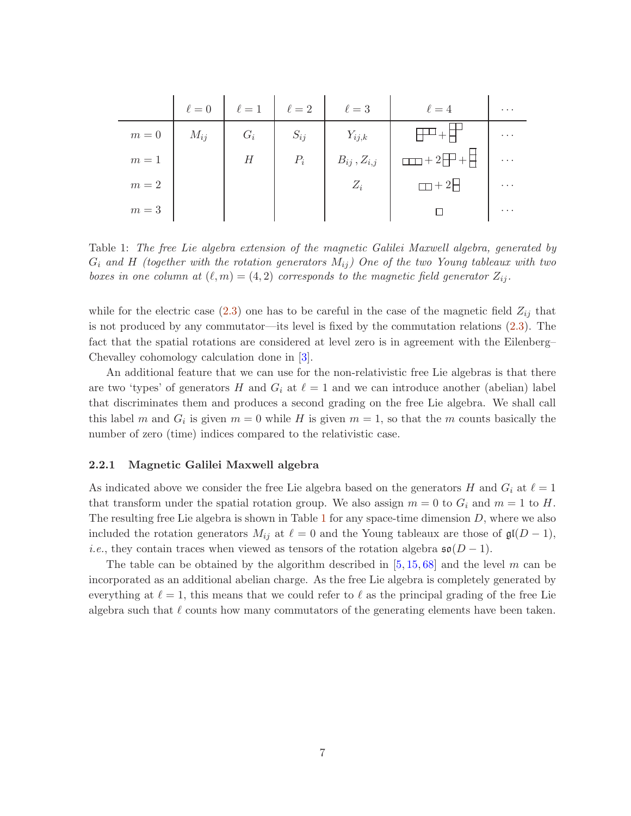|       | $\ell=0$ | $\ell=1$ | $\ell=2$ | $\ell=3$             | $\ell=4$        | $\cdots$ |
|-------|----------|----------|----------|----------------------|-----------------|----------|
| $m=0$ | $M_{ij}$ | $G_i$    | $S_{ij}$ | $Y_{ij,k}$           |                 | $\cdots$ |
| $m=1$ |          | Н        | $P_i$    | $B_{ij}$ , $Z_{i,j}$ | $+2$<br>$- + +$ | $\cdots$ |
| $m=2$ |          |          |          | $Z_i$                | $\Box$ + 2H     | $\cdots$ |
| $m=3$ |          |          |          |                      |                 | $\cdots$ |

<span id="page-6-0"></span>Table 1: The free Lie algebra extension of the magnetic Galilei Maxwell algebra, generated by  $G_i$  and H (together with the rotation generators  $M_{ij}$ ) One of the two Young tableaux with two boxes in one column at  $(\ell,m)=(4,2)$  corresponds to the magnetic field generator  $Z_{ij}$ .

while for the electric case [\(2.3\)](#page-4-2) one has to be careful in the case of the magnetic field  $Z_{ij}$  that is not produced by any commutator—its level is fixed by the commutation relations [\(2.3\)](#page-4-2). The fact that the spatial rotations are considered at level zero is in agreement with the Eilenberg– Chevalley cohomology calculation done in [\[3\]](#page-17-2).

An additional feature that we can use for the non-relativistic free Lie algebras is that there are two 'types' of generators H and  $G_i$  at  $\ell = 1$  and we can introduce another (abelian) label that discriminates them and produces a second grading on the free Lie algebra. We shall call this label m and  $G_i$  is given  $m = 0$  while H is given  $m = 1$ , so that the m counts basically the number of zero (time) indices compared to the relativistic case.

### 2.2.1 Magnetic Galilei Maxwell algebra

As indicated above we consider the free Lie algebra based on the generators H and  $G_i$  at  $\ell = 1$ that transform under the spatial rotation group. We also assign  $m = 0$  to  $G_i$  and  $m = 1$  to H. The resulting free Lie algebra is shown in Table  $1$  for any space-time dimension  $D$ , where we also included the rotation generators  $M_{ij}$  at  $\ell = 0$  and the Young tableaux are those of  $\mathfrak{gl}(D-1)$ , *i.e.*, they contain traces when viewed as tensors of the rotation algebra  $\mathfrak{so}(D-1)$ .

The table can be obtained by the algorithm described in  $[5, 15, 68]$  $[5, 15, 68]$  $[5, 15, 68]$  $[5, 15, 68]$  and the level m can be incorporated as an additional abelian charge. As the free Lie algebra is completely generated by everything at  $\ell = 1$ , this means that we could refer to  $\ell$  as the principal grading of the free Lie algebra such that  $\ell$  counts how many commutators of the generating elements have been taken.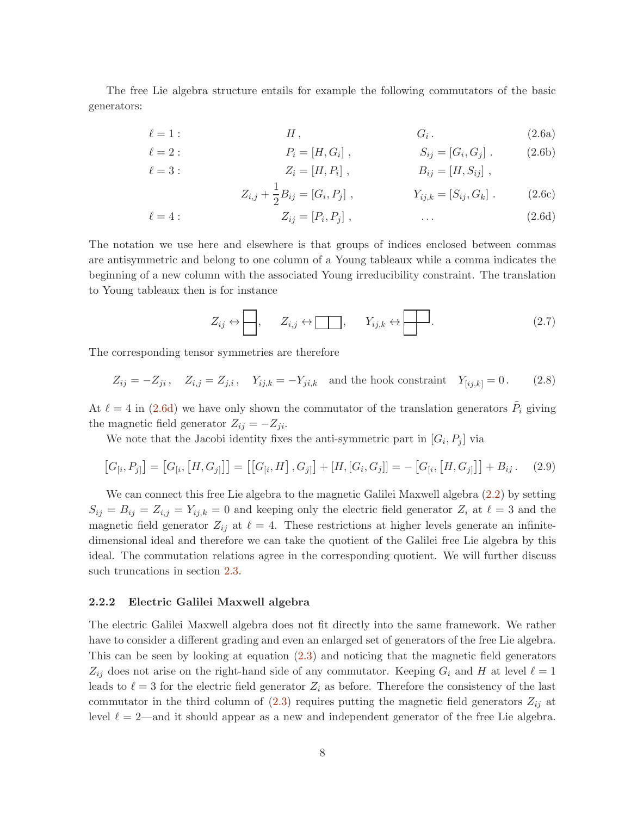The free Lie algebra structure entails for example the following commutators of the basic generators:

$$
\ell = 1: \t\t H, \t\t G_i. \t\t (2.6a)
$$

$$
\ell = 2: \t P_i = [H, G_i], \t S_{ij} = [G_i, G_j]. \t (2.6b)
$$
  

$$
\ell = 3: \t Z_i = [H, P_i], \t B_{ij} = [H, S_{ij}], \t (2.6c)
$$

<span id="page-7-0"></span>
$$
Z_{i,j} + \frac{1}{2}B_{ij} = [G_i, P_j], \qquad Y_{ij,k} = [S_{ij}, G_k]. \qquad (2.6c)
$$

$$
\ell = 4: \qquad Z_{ij} = [P_i, P_j], \qquad \dots \qquad (2.6d)
$$

The notation we use here and elsewhere is that groups of indices enclosed between commas are antisymmetric and belong to one column of a Young tableaux while a comma indicates the beginning of a new column with the associated Young irreducibility constraint. The translation to Young tableaux then is for instance

<span id="page-7-1"></span>
$$
Z_{ij} \leftrightarrow \boxed{\phantom{0}}\,, \qquad Z_{i,j} \leftrightarrow \boxed{\phantom{0}}\,, \qquad Y_{ij,k} \leftrightarrow \boxed{\phantom{0}}\,. \tag{2.7}
$$

The corresponding tensor symmetries are therefore

$$
Z_{ij} = -Z_{ji}
$$
,  $Z_{i,j} = Z_{j,i}$ ,  $Y_{ij,k} = -Y_{ji,k}$  and the hook constraint  $Y_{[ij,k]} = 0$ . (2.8)

At  $\ell = 4$  in [\(2.6d\)](#page-7-0) we have only shown the commutator of the translation generators  $\tilde{P}_i$  giving the magnetic field generator  $Z_{ij} = -Z_{ji}$ .

We note that the Jacobi identity fixes the anti-symmetric part in  $[G_i, P_j]$  via

$$
[G_{[i}, P_{j]}] = [G_{[i}, [H, G_{j]}]] = [[G_{[i}, H], G_{j]}] + [H, [G_{i}, G_{j}]] = -[G_{[i}, [H, G_{j]}]] + B_{ij}.
$$
 (2.9)

We can connect this free Lie algebra to the magnetic Galilei Maxwell algebra  $(2.2)$  by setting  $S_{ij} = B_{ij} = Z_{i,j} = Y_{ij,k} = 0$  and keeping only the electric field generator  $Z_i$  at  $\ell = 3$  and the magnetic field generator  $Z_{ij}$  at  $\ell = 4$ . These restrictions at higher levels generate an infinitedimensional ideal and therefore we can take the quotient of the Galilei free Lie algebra by this ideal. The commutation relations agree in the corresponding quotient. We will further discuss such truncations in section [2.3.](#page-9-0)

#### 2.2.2 Electric Galilei Maxwell algebra

The electric Galilei Maxwell algebra does not fit directly into the same framework. We rather have to consider a different grading and even an enlarged set of generators of the free Lie algebra. This can be seen by looking at equation [\(2.3\)](#page-4-2) and noticing that the magnetic field generators  $Z_{ij}$  does not arise on the right-hand side of any commutator. Keeping  $G_i$  and H at level  $\ell = 1$ leads to  $\ell = 3$  for the electric field generator  $Z_i$  as before. Therefore the consistency of the last commutator in the third column of  $(2.3)$  requires putting the magnetic field generators  $Z_{ij}$  at level  $\ell = 2$ —and it should appear as a new and independent generator of the free Lie algebra.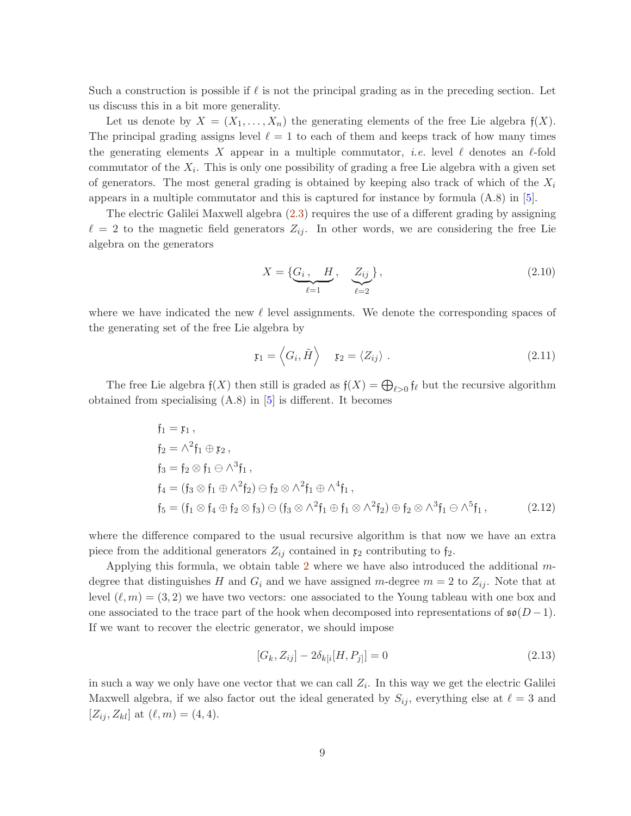Such a construction is possible if  $\ell$  is not the principal grading as in the preceding section. Let us discuss this in a bit more generality.

Let us denote by  $X = (X_1, \ldots, X_n)$  the generating elements of the free Lie algebra  $f(X)$ . The principal grading assigns level  $\ell = 1$  to each of them and keeps track of how many times the generating elements X appear in a multiple commutator, *i.e.* level  $\ell$  denotes an  $\ell$ -fold commutator of the  $X_i$ . This is only one possibility of grading a free Lie algebra with a given set of generators. The most general grading is obtained by keeping also track of which of the  $X_i$ appears in a multiple commutator and this is captured for instance by formula  $(A.8)$  in [\[5\]](#page-17-4).

The electric Galilei Maxwell algebra [\(2.3\)](#page-4-2) requires the use of a different grading by assigning  $\ell = 2$  to the magnetic field generators  $Z_{ij}$ . In other words, we are considering the free Lie algebra on the generators

$$
X = \{ \underbrace{G_i}_{\ell=1}, \underbrace{Z_{ij}}_{\ell=2} \},
$$
\n(2.10)

where we have indicated the new  $\ell$  level assignments. We denote the corresponding spaces of the generating set of the free Lie algebra by

$$
\mathfrak{x}_1 = \left\langle G_i, \tilde{H} \right\rangle \quad \mathfrak{x}_2 = \left\langle Z_{ij} \right\rangle \,. \tag{2.11}
$$

The free Lie algebra  $f(X)$  then still is graded as  $f(X) = \bigoplus_{\ell > 0} f_{\ell}$  but the recursive algorithm obtained from specialising  $(A.8)$  in  $[5]$  is different. It becomes

$$
\begin{aligned}\n\mathfrak{f}_1 &= \mathfrak{x}_1, \\
\mathfrak{f}_2 &= \wedge^2 \mathfrak{f}_1 \oplus \mathfrak{x}_2, \\
\mathfrak{f}_3 &= \mathfrak{f}_2 \otimes \mathfrak{f}_1 \ominus \wedge^3 \mathfrak{f}_1, \\
\mathfrak{f}_4 &= (\mathfrak{f}_3 \otimes \mathfrak{f}_1 \oplus \wedge^2 \mathfrak{f}_2) \ominus \mathfrak{f}_2 \otimes \wedge^2 \mathfrak{f}_1 \oplus \wedge^4 \mathfrak{f}_1, \\
\mathfrak{f}_5 &= (\mathfrak{f}_1 \otimes \mathfrak{f}_4 \oplus \mathfrak{f}_2 \otimes \mathfrak{f}_3) \ominus (\mathfrak{f}_3 \otimes \wedge^2 \mathfrak{f}_1 \oplus \mathfrak{f}_1 \otimes \wedge^2 \mathfrak{f}_2) \oplus \mathfrak{f}_2 \otimes \wedge^3 \mathfrak{f}_1 \ominus \wedge^5 \mathfrak{f}_1,\n\end{aligned} \tag{2.12}
$$

where the difference compared to the usual recursive algorithm is that now we have an extra piece from the additional generators  $Z_{ij}$  contained in  $\mathfrak{x}_2$  contributing to  $\mathfrak{f}_2$ .

Applying this formula, we obtain table [2](#page-9-1) where we have also introduced the additional  $m$ degree that distinguishes H and  $G_i$  and we have assigned m-degree  $m = 2$  to  $Z_{ij}$ . Note that at level  $(\ell,m) = (3,2)$  we have two vectors: one associated to the Young tableau with one box and one associated to the trace part of the hook when decomposed into representations of  $\mathfrak{so}(D-1)$ . If we want to recover the electric generator, we should impose

$$
[G_k, Z_{ij}] - 2\delta_{k[i}[H, P_{j]}] = 0
$$
\n(2.13)

in such a way we only have one vector that we can call  $Z_i$ . In this way we get the electric Galilei Maxwell algebra, if we also factor out the ideal generated by  $S_{ij}$ , everything else at  $\ell = 3$  and  $[Z_{ij}, Z_{kl}]$  at  $(\ell, m) = (4, 4)$ .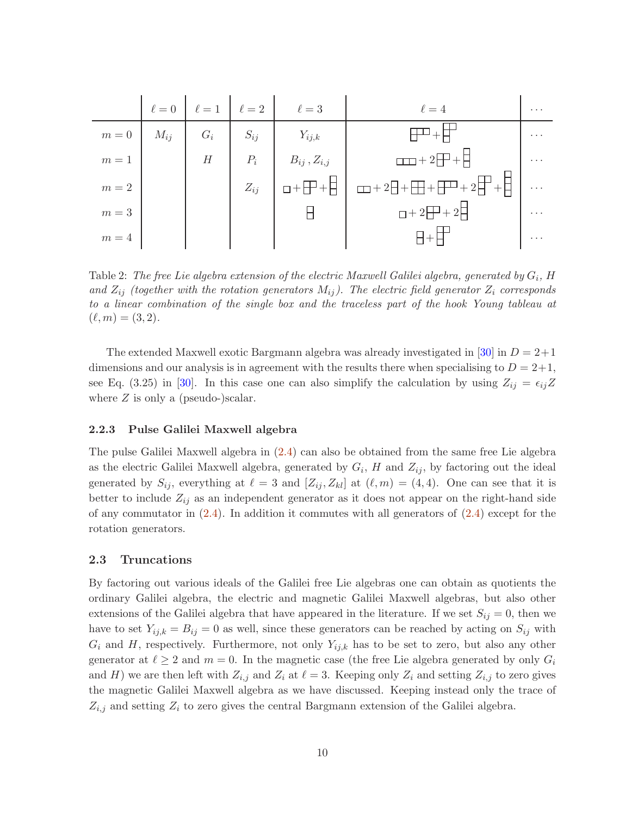|         |          | $\ell = 0$ $\ell = 1$ $\ell = 2$ |          | $\ell=3$                    | $\ell=4$                                                                       | $\cdots$ |
|---------|----------|----------------------------------|----------|-----------------------------|--------------------------------------------------------------------------------|----------|
| $m=0\,$ | $M_{ij}$ | $G_i$                            | $S_{ij}$ | $Y_{ij,k}$                  |                                                                                | $\cdots$ |
| $m=1$   |          | H                                | $P_i$    | $B_{ij}$ , $Z_{i,j}$        | $\Box$ + 2 $\Box$ + $\Box$                                                     | $\cdots$ |
| $m=2$   |          |                                  | $Z_{ij}$ | $\Box + \Box + \Box + \Box$ | $\boxed{\Box} + 2 \boxed{+} + \boxed{+} + \boxed{+} + 2 \boxed{+} + \boxed{+}$ | $\cdots$ |
| $m=3$   |          |                                  |          |                             | $\Box$ + 2 + 2 + 2 +                                                           | $\cdots$ |
| $m=4$   |          |                                  |          |                             |                                                                                | $\cdots$ |

<span id="page-9-1"></span>Table 2: The free Lie algebra extension of the electric Maxwell Galilei algebra, generated by  $G_i$ , H and  $Z_{ij}$  (together with the rotation generators  $M_{ij}$ ). The electric field generator  $Z_i$  corresponds to a linear combination of the single box and the traceless part of the hook Young tableau at  $(\ell,m) = (3,2).$ 

The extended Maxwell exotic Bargmann algebra was already investigated in [\[30\]](#page-19-12) in  $D = 2+1$ dimensions and our analysis is in agreement with the results there when specialising to  $D = 2+1$ , see Eq. (3.25) in [\[30\]](#page-19-12). In this case one can also simplify the calculation by using  $Z_{ij} = \epsilon_{ij}Z$ where  $Z$  is only a (pseudo-)scalar.

#### 2.2.3 Pulse Galilei Maxwell algebra

The pulse Galilei Maxwell algebra in [\(2.4\)](#page-5-1) can also be obtained from the same free Lie algebra as the electric Galilei Maxwell algebra, generated by  $G_i$ , H and  $Z_{ij}$ , by factoring out the ideal generated by  $S_{ij}$ , everything at  $\ell = 3$  and  $[Z_{ij}, Z_{kl}]$  at  $(\ell, m) = (4, 4)$ . One can see that it is better to include  $Z_{ij}$  as an independent generator as it does not appear on the right-hand side of any commutator in  $(2.4)$ . In addition it commutes with all generators of  $(2.4)$  except for the rotation generators.

#### <span id="page-9-0"></span>2.3 Truncations

By factoring out various ideals of the Galilei free Lie algebras one can obtain as quotients the ordinary Galilei algebra, the electric and magnetic Galilei Maxwell algebras, but also other extensions of the Galilei algebra that have appeared in the literature. If we set  $S_{ij} = 0$ , then we have to set  $Y_{ij,k} = B_{ij} = 0$  as well, since these generators can be reached by acting on  $S_{ij}$  with  $G_i$  and H, respectively. Furthermore, not only  $Y_{ij,k}$  has to be set to zero, but also any other generator at  $\ell \geq 2$  and  $m = 0$ . In the magnetic case (the free Lie algebra generated by only  $G_i$ and H) we are then left with  $Z_{i,j}$  and  $Z_i$  at  $\ell = 3$ . Keeping only  $Z_i$  and setting  $Z_{i,j}$  to zero gives the magnetic Galilei Maxwell algebra as we have discussed. Keeping instead only the trace of  $Z_{i,j}$  and setting  $Z_i$  to zero gives the central Bargmann extension of the Galilei algebra.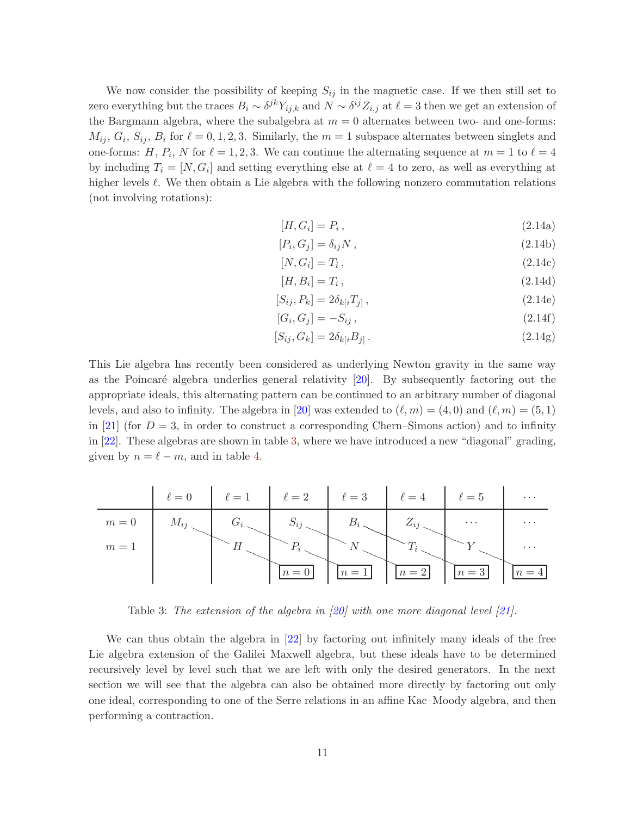We now consider the possibility of keeping  $S_{ij}$  in the magnetic case. If we then still set to zero everything but the traces  $B_i \sim \delta^{jk} Y_{ij,k}$  and  $N \sim \delta^{ij} Z_{i,j}$  at  $\ell = 3$  then we get an extension of the Bargmann algebra, where the subalgebra at  $m = 0$  alternates between two- and one-forms:  $M_{ij}, G_i, S_{ij}, B_i$  for  $\ell = 0, 1, 2, 3$ . Similarly, the  $m = 1$  subspace alternates between singlets and one-forms: H,  $P_i$ , N for  $\ell = 1, 2, 3$ . We can continue the alternating sequence at  $m = 1$  to  $\ell = 4$ by including  $T_i = [N, G_i]$  and setting everything else at  $\ell = 4$  to zero, as well as everything at higher levels  $\ell$ . We then obtain a Lie algebra with the following nonzero commutation relations (not involving rotations):

$$
[H, G_i] = P_i, \tag{2.14a}
$$

$$
[P_i, G_j] = \delta_{ij} N , \qquad (2.14b)
$$

$$
[N, G_i] = T_i, \qquad (2.14c)
$$

$$
[H, B_i] = T_i, \tag{2.14d}
$$

$$
[S_{ij}, P_k] = 2\delta_{k[i}T_{j]}, \qquad (2.14e)
$$

$$
[G_i, G_j] = -S_{ij}, \t\t(2.14f)
$$

$$
[S_{ij}, G_k] = 2\delta_{k[i}B_{j]}.
$$
\n
$$
(2.14g)
$$

This Lie algebra has recently been considered as underlying Newton gravity in the same way as the Poincaré algebra underlies general relativity  $[20]$ . By subsequently factoring out the appropriate ideals, this alternating pattern can be continued to an arbitrary number of diagonal levels, and also to infinity. The algebra in [\[20\]](#page-18-5) was extended to  $(\ell, m) = (4, 0)$  and  $(\ell, m) = (5, 1)$ in [\[21\]](#page-18-11) (for  $D = 3$ , in order to construct a corresponding Chern–Simons action) and to infinity in [\[22\]](#page-18-7). These algebras are shown in table [3,](#page-10-0) where we have introduced a new "diagonal" grading, given by  $n = \ell - m$ , and in table [4.](#page-11-1)

|       |          |         | $\ell=0$ $\ell=1$ $\ell=2$ $\ell=3$ $\ell=4$ $\ell=5$ |       |            |          | $\cdots$ |
|-------|----------|---------|-------------------------------------------------------|-------|------------|----------|----------|
| $m=0$ | $M_{ij}$ | $G_{i}$ | $S_{ij}$                                              |       | $Z_{ij}$ . | $\cdots$ | $\cdots$ |
| $m=1$ |          |         |                                                       |       |            |          | $\cdots$ |
|       |          |         |                                                       | $n=1$ | $n=2$      | $n=3$    |          |

<span id="page-10-0"></span>Table 3: The extension of the algebra in  $(20)$  with one more diagonal level  $(21)$ .

We can thus obtain the algebra in [\[22\]](#page-18-7) by factoring out infinitely many ideals of the free Lie algebra extension of the Galilei Maxwell algebra, but these ideals have to be determined recursively level by level such that we are left with only the desired generators. In the next section we will see that the algebra can also be obtained more directly by factoring out only one ideal, corresponding to one of the Serre relations in an affine Kac–Moody algebra, and then performing a contraction.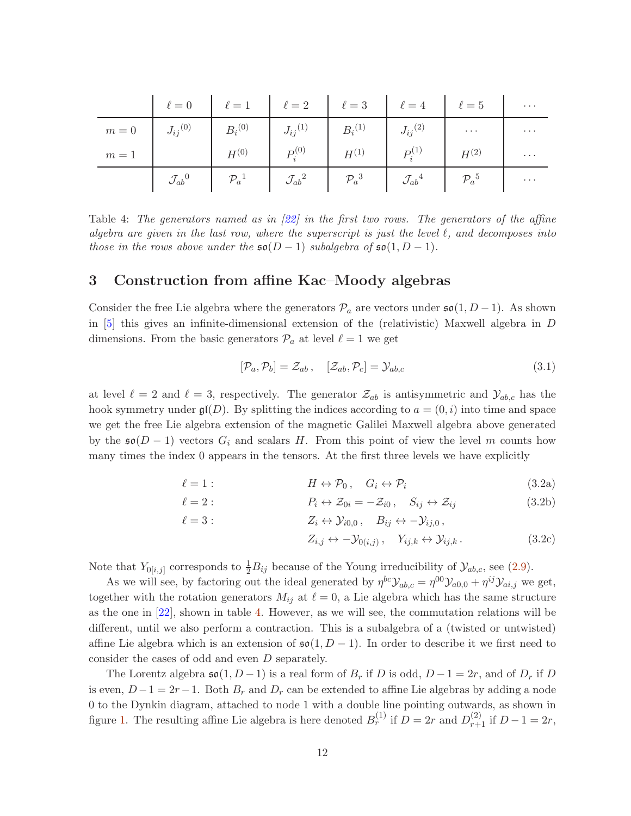|                                                                                                                                                                                                                                                                                                               | $\ell = 0$ $\ell = 1$ $\ell = 2$ $\ell = 3$ $\ell = 4$ $\ell = 5$                                                                                                                                                 |  |  |                                   |
|---------------------------------------------------------------------------------------------------------------------------------------------------------------------------------------------------------------------------------------------------------------------------------------------------------------|-------------------------------------------------------------------------------------------------------------------------------------------------------------------------------------------------------------------|--|--|-----------------------------------|
| $m = 0$ $J_{ij}^{(0)}$ $B_i^{(0)}$ $J_{ij}^{(1)}$ $B_i^{(1)}$ $J_{ij}^{(2)}$ $J_{ij}^{(3)}$ $J_{ij}^{(4)}$ $J_{ij}^{(5)}$ $J_{ij}^{(6)}$ $J_{ij}^{(7)}$ $J_{ij}^{(8)}$ $J_{ij}^{(9)}$ $J_{ij}^{(1)}$ $J_{ij}^{(2)}$ $J_{ij}^{(3)}$ $J_{ij}^{(4)}$ $J_{ij}^{(5)}$ $J_{ij}^{(6)}$ $J_{ij}^{(7)}$ $J_{ij}^{(8)}$ |                                                                                                                                                                                                                   |  |  | $\sim$ 100 $\sim$ 100 $\sim$      |
|                                                                                                                                                                                                                                                                                                               |                                                                                                                                                                                                                   |  |  | $\mathbb{R}^n$ and $\mathbb{R}^n$ |
|                                                                                                                                                                                                                                                                                                               | $\mathcal{J}_{ab}{}^0 \qquad \qquad \mathcal{P}_a{}^1 \qquad \qquad \mathcal{J}_{ab}{}^2 \qquad \qquad \mathcal{P}_a{}^3 \qquad \qquad \mathcal{J}_{ab}{}^4 \qquad \qquad \mathcal{P}_a{}^5 \qquad \qquad \cdots$ |  |  |                                   |

<span id="page-11-1"></span>Table 4: The generators named as in [\[22\]](#page-18-7) in the first two rows. The generators of the affine algebra are given in the last row, where the superscript is just the level  $\ell$ , and decomposes into those in the rows above under the  $\mathfrak{so}(D-1)$  subalgebra of  $\mathfrak{so}(1, D-1)$ .

## <span id="page-11-0"></span>3 Construction from affine Kac–Moody algebras

Consider the free Lie algebra where the generators  $\mathcal{P}_a$  are vectors under  $\mathfrak{so}(1, D-1)$ . As shown in [\[5\]](#page-17-4) this gives an infinite-dimensional extension of the (relativistic) Maxwell algebra in D dimensions. From the basic generators  $\mathcal{P}_a$  at level  $\ell = 1$  we get

$$
[\mathcal{P}_a, \mathcal{P}_b] = \mathcal{Z}_{ab}, \quad [\mathcal{Z}_{ab}, \mathcal{P}_c] = \mathcal{Y}_{ab,c} \tag{3.1}
$$

at level  $\ell = 2$  and  $\ell = 3$ , respectively. The generator  $\mathcal{Z}_{ab}$  is antisymmetric and  $\mathcal{Y}_{ab,c}$  has the hook symmetry under  $\mathfrak{gl}(D)$ . By splitting the indices according to  $a = (0, i)$  into time and space we get the free Lie algebra extension of the magnetic Galilei Maxwell algebra above generated by the  $\mathfrak{so}(D-1)$  vectors  $G_i$  and scalars H. From this point of view the level m counts how many times the index 0 appears in the tensors. At the first three levels we have explicitly

$$
\ell = 1: \qquad H \leftrightarrow \mathcal{P}_0, \quad G_i \leftrightarrow \mathcal{P}_i \tag{3.2a}
$$

$$
\ell = 2: \qquad P_i \leftrightarrow \mathcal{Z}_{0i} = -\mathcal{Z}_{i0}, \quad S_{ij} \leftrightarrow \mathcal{Z}_{ij} \tag{3.2b}
$$

$$
\ell = 3: \qquad \qquad Z_i \leftrightarrow \mathcal{Y}_{i0,0} \,, \quad B_{ij} \leftrightarrow -\mathcal{Y}_{ij,0} \,,
$$

$$
Z_{i,j} \leftrightarrow -\mathcal{Y}_{0(i,j)}, \quad Y_{ij,k} \leftrightarrow \mathcal{Y}_{ij,k}.
$$
 (3.2c)

Note that  $Y_{0[i,j]}$  corresponds to  $\frac{1}{2}B_{ij}$  because of the Young irreducibility of  $\mathcal{Y}_{ab,c}$ , see [\(2.9\)](#page-7-1).

As we will see, by factoring out the ideal generated by  $\eta^{bc} y_{ab,c} = \eta^{00} y_{a0,0} + \eta^{ij} y_{ai,j}$  we get, together with the rotation generators  $M_{ij}$  at  $\ell = 0$ , a Lie algebra which has the same structure as the one in [\[22\]](#page-18-7), shown in table [4.](#page-11-1) However, as we will see, the commutation relations will be different, until we also perform a contraction. This is a subalgebra of a (twisted or untwisted) affine Lie algebra which is an extension of  $\mathfrak{so}(1, D - 1)$ . In order to describe it we first need to consider the cases of odd and even D separately.

The Lorentz algebra  $\mathfrak{so}(1, D-1)$  is a real form of  $B_r$  if D is odd,  $D-1=2r$ , and of  $D_r$  if D is even,  $D-1=2r-1$ . Both  $B_r$  and  $D_r$  can be extended to affine Lie algebras by adding a node 0 to the Dynkin diagram, attached to node 1 with a double line pointing outwards, as shown in figure [1.](#page-12-0) The resulting affine Lie algebra is here denoted  $B_r^{(1)}$  if  $D = 2r$  and  $D_{r+1}^{(2)}$  if  $D - 1 = 2r$ ,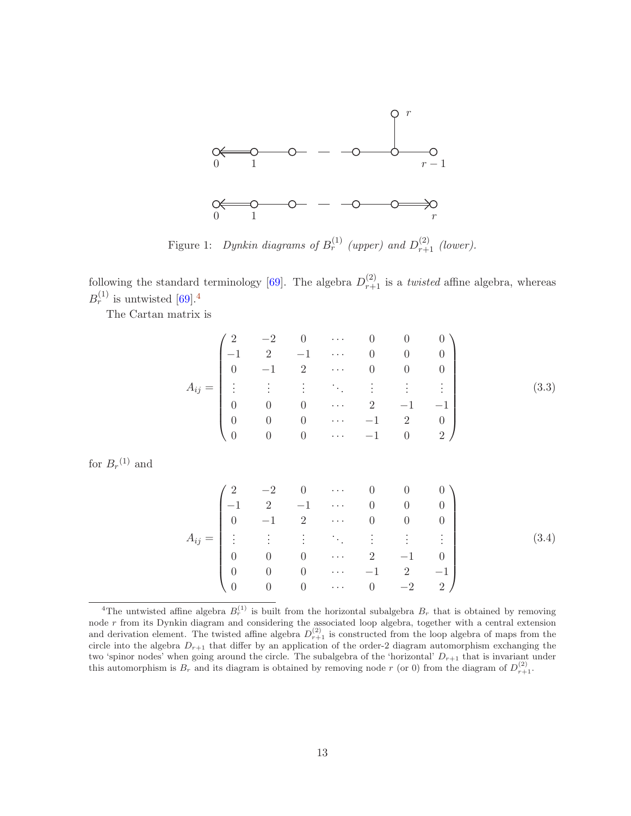

<span id="page-12-0"></span>Figure 1: Dynkin diagrams of  $B_r^{(1)}$  (upper) and  $D_{r+1}^{(2)}$  (lower).

following the standard terminology [\[69\]](#page-21-4). The algebra  $D_{r+1}^{(2)}$  is a *twisted* affine algebra, whereas  $B_r^{(1)}$  is untwisted [\[69\]](#page-21-4).<sup>[4](#page-12-1)</sup>

The Cartan matrix is

$$
A_{ij} = \begin{pmatrix} 2 & -2 & 0 & \cdots & 0 & 0 & 0 \\ -1 & 2 & -1 & \cdots & 0 & 0 & 0 \\ 0 & -1 & 2 & \cdots & 0 & 0 & 0 \\ \vdots & \vdots & \vdots & \ddots & \vdots & \vdots & \vdots \\ 0 & 0 & 0 & \cdots & 2 & -1 & -1 \\ 0 & 0 & 0 & \cdots & -1 & 2 & 0 \\ 0 & 0 & 0 & \cdots & -1 & 0 & 2 \end{pmatrix}
$$
(3.3)

for  $B_r^{(1)}$  and

$$
A_{ij} = \begin{pmatrix} 2 & -2 & 0 & \cdots & 0 & 0 & 0 \\ -1 & 2 & -1 & \cdots & 0 & 0 & 0 \\ 0 & -1 & 2 & \cdots & 0 & 0 & 0 \\ \vdots & \vdots & \vdots & \ddots & \vdots & \vdots & \vdots \\ 0 & 0 & 0 & \cdots & 2 & -1 & 0 \\ 0 & 0 & 0 & \cdots & -1 & 2 & -1 \\ 0 & 0 & 0 & \cdots & 0 & -2 & 2 \end{pmatrix}
$$
(3.4)

<span id="page-12-1"></span><sup>&</sup>lt;sup>4</sup>The untwisted affine algebra  $B_r^{(1)}$  is built from the horizontal subalgebra  $B_r$  that is obtained by removing node r from its Dynkin diagram and considering the associated loop algebra, together with a central extension and derivation element. The twisted affine algebra  $D_{r+1}^{(2)}$  is constructed from the loop algebra of maps from the circle into the algebra  $D_{r+1}$  that differ by an application of the order-2 diagram automorphism exchanging the two 'spinor nodes' when going around the circle. The subalgebra of the 'horizontal'  $D_{r+1}$  that is invariant under this automorphism is  $B_r$  and its diagram is obtained by removing node r (or 0) from the diagram of  $D_{r+1}^{(2)}$ .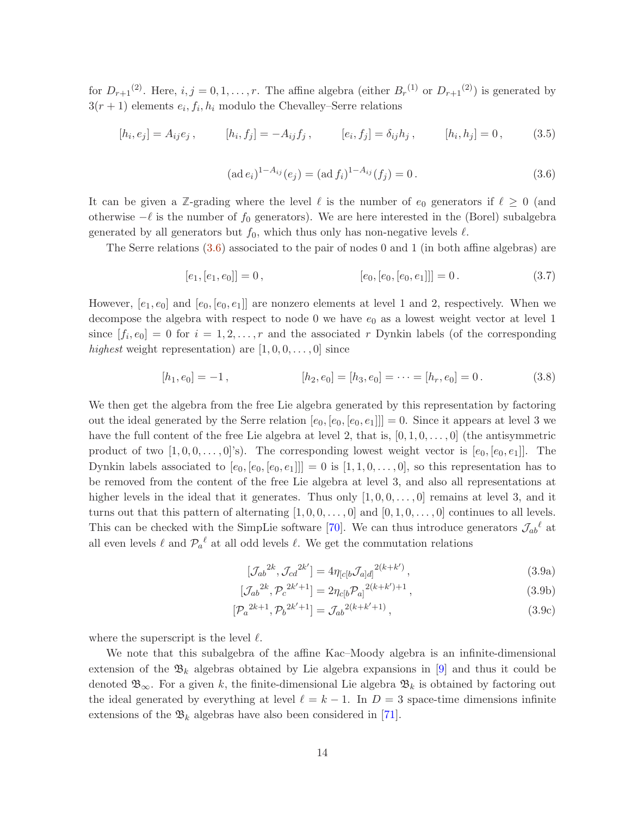for  $D_{r+1}^{(2)}$ . Here,  $i, j = 0, 1, \ldots, r$ . The affine algebra (either  $B_r^{(1)}$  or  $D_{r+1}^{(2)}$ ) is generated by  $3(r+1)$  elements  $e_i, f_i, h_i$  modulo the Chevalley–Serre relations

$$
[h_i, e_j] = A_{ij}e_j, \qquad [h_i, f_j] = -A_{ij}f_j, \qquad [e_i, f_j] = \delta_{ij}h_j, \qquad [h_i, h_j] = 0, \qquad (3.5)
$$

<span id="page-13-0"></span>
$$
(\text{ad } e_i)^{1 - A_{ij}}(e_j) = (\text{ad } f_i)^{1 - A_{ij}}(f_j) = 0.
$$
\n(3.6)

It can be given a  $\mathbb{Z}$ -grading where the level  $\ell$  is the number of  $e_0$  generators if  $\ell \geq 0$  (and otherwise  $-\ell$  is the number of  $f_0$  generators). We are here interested in the (Borel) subalgebra generated by all generators but  $f_0$ , which thus only has non-negative levels  $\ell$ .

The Serre relations [\(3.6\)](#page-13-0) associated to the pair of nodes 0 and 1 (in both affine algebras) are

$$
[e_1, [e_1, e_0]] = 0, \qquad [e_0, [e_0, [e_0, e_1]]] = 0. \qquad (3.7)
$$

However,  $[e_1, e_0]$  and  $[e_0, [e_0, e_1]]$  are nonzero elements at level 1 and 2, respectively. When we decompose the algebra with respect to node 0 we have  $e_0$  as a lowest weight vector at level 1 since  $[f_i, e_0] = 0$  for  $i = 1, 2, ..., r$  and the associated r Dynkin labels (of the corresponding highest weight representation) are  $[1, 0, 0, \ldots, 0]$  since

$$
[h_1, e_0] = -1, \qquad [h_2, e_0] = [h_3, e_0] = \dots = [h_r, e_0] = 0. \qquad (3.8)
$$

We then get the algebra from the free Lie algebra generated by this representation by factoring out the ideal generated by the Serre relation  $[e_0, [e_0, [e_0, e_1]]] = 0$ . Since it appears at level 3 we have the full content of the free Lie algebra at level 2, that is,  $[0, 1, 0, \ldots, 0]$  (the antisymmetric product of two  $[1, 0, 0, \ldots, 0]$ 's). The corresponding lowest weight vector is  $[e_0, [e_0, e_1]]$ . The Dynkin labels associated to  $[e_0, [e_0, [e_0, e_1]]] = 0$  is  $[1, 1, 0, \ldots, 0]$ , so this representation has to be removed from the content of the free Lie algebra at level 3, and also all representations at higher levels in the ideal that it generates. Thus only  $[1, 0, 0, \ldots, 0]$  remains at level 3, and it turns out that this pattern of alternating  $[1, 0, 0, \ldots, 0]$  and  $[0, 1, 0, \ldots, 0]$  continues to all levels. This can be checked with the SimpLie software [\[70\]](#page-21-5). We can thus introduce generators  $\mathcal{J}_{ab}{}^{\ell}$  at all even levels  $\ell$  and  $\mathcal{P}_a^{\ell}$  at all odd levels  $\ell$ . We get the commutation relations

<span id="page-13-1"></span>
$$
[\mathcal{J}_{ab}^{2k}, \mathcal{J}_{cd}^{2k'}] = 4\eta_{[c[b}\mathcal{J}_{a]d]}^{2(k+k')},\tag{3.9a}
$$

$$
[\mathcal{J}_{ab}^{2k}, \mathcal{P}_c^{2k'+1}] = 2\eta_{c[b}\mathcal{P}_{a]}^{2(k+k')+1}, \qquad (3.9b)
$$

$$
[\mathcal{P}_a{}^{2k+1}, \mathcal{P}_b{}^{2k'+1}] = \mathcal{J}_{ab}{}^{2(k+k'+1)}, \tag{3.9c}
$$

where the superscript is the level  $\ell$ .

We note that this subalgebra of the affine Kac–Moody algebra is an infinite-dimensional extension of the  $\mathfrak{B}_k$  algebras obtained by Lie algebra expansions in [\[9\]](#page-17-6) and thus it could be denoted  $\mathfrak{B}_{\infty}$ . For a given k, the finite-dimensional Lie algebra  $\mathfrak{B}_k$  is obtained by factoring out the ideal generated by everything at level  $\ell = k - 1$ . In  $D = 3$  space-time dimensions infinite extensions of the  $\mathfrak{B}_k$  algebras have also been considered in [\[71\]](#page-21-6).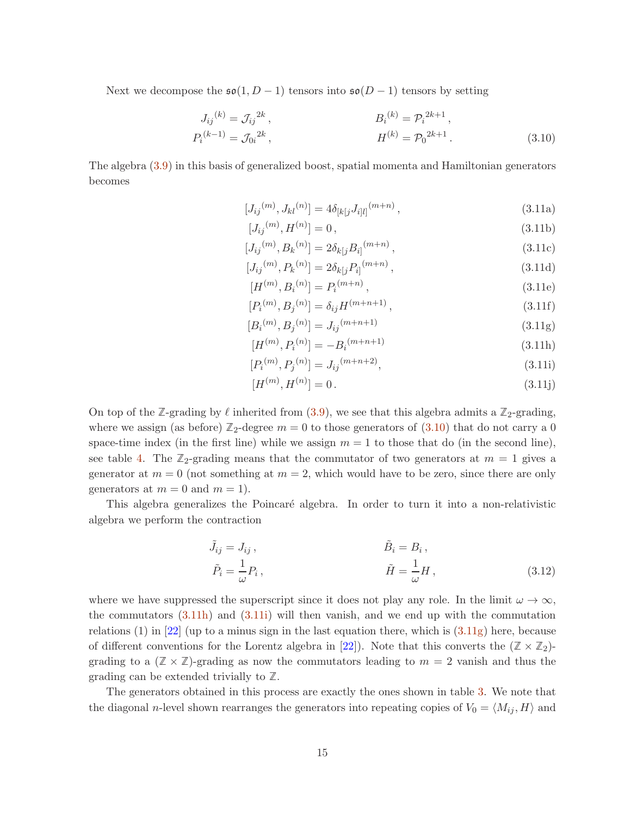Next we decompose the  $\mathfrak{so}(1, D-1)$  tensors into  $\mathfrak{so}(D-1)$  tensors by setting

$$
J_{ij}^{(k)} = \mathcal{J}_{ij}^{2k},
$$
  
\n
$$
P_i^{(k-1)} = \mathcal{J}_{0i}^{2k},
$$
  
\n
$$
H^{(k)} = \mathcal{P}_0^{2k+1},
$$
  
\n
$$
H^{(k)} = \mathcal{P}_0^{2k+1}.
$$
  
\n(3.10)

The algebra [\(3.9\)](#page-13-1) in this basis of generalized boost, spatial momenta and Hamiltonian generators becomes

<span id="page-14-0"></span>
$$
[J_{ij}^{(m)}, J_{kl}^{(n)}] = 4\delta_{[k[j]} J_{i[l]}^{(m+n)}, \qquad (3.11a)
$$

$$
[J_{ij}^{(m)}, H^{(n)}] = 0, \t\t(3.11b)
$$

$$
[J_{ij}^{(m)}, B_k^{(n)}] = 2\delta_{k[j}B_{i]}^{(m+n)},
$$
\n(3.11c)

$$
[J_{ij}^{(m)}, P_k^{(n)}] = 2\delta_{k[j} P_{i]}^{(m+n)}, \qquad (3.11d)
$$

$$
[H^{(m)}, B_i^{(n)}] = P_i^{(m+n)},
$$
\n(3.11e)

$$
[P_i^{(m)}, B_j^{(n)}] = \delta_{ij} H^{(m+n+1)}, \qquad (3.11f)
$$

$$
[B_i^{(m)}, B_j^{(n)}] = J_{ij}^{(m+n+1)}
$$
(3.11g)  

$$
[H^{(m)}, P_i^{(n)}] = -B_i^{(m+n+1)}
$$
(3.11h)

<span id="page-14-3"></span><span id="page-14-2"></span><span id="page-14-1"></span>
$$
[P_i^{(m)}, P_j^{(n)}] = J_{ij}^{(m+n+2)},
$$
\n(3.11i)

$$
[H^{(m)}, H^{(n)}] = 0.
$$
\n(3.11j)

On top of the **Z**-grading by  $\ell$  inherited from [\(3.9\)](#page-13-1), we see that this algebra admits a  $\mathbb{Z}_2$ -grading, where we assign (as before)  $\mathbb{Z}_2$ -degree  $m = 0$  to those generators of [\(3.10\)](#page-14-0) that do not carry a 0 space-time index (in the first line) while we assign  $m = 1$  to those that do (in the second line), see table [4.](#page-11-1) The  $\mathbb{Z}_2$ -grading means that the commutator of two generators at  $m = 1$  gives a generator at  $m = 0$  (not something at  $m = 2$ , which would have to be zero, since there are only generators at  $m = 0$  and  $m = 1$ .

This algebra generalizes the Poincaré algebra. In order to turn it into a non-relativistic algebra we perform the contraction

$$
\tilde{J}_{ij} = J_{ij}, \qquad \tilde{B}_i = B_i, \n\tilde{P}_i = \frac{1}{\omega} P_i, \qquad \tilde{H} = \frac{1}{\omega} H, \qquad (3.12)
$$

where we have suppressed the superscript since it does not play any role. In the limit  $\omega \to \infty$ , the commutators  $(3.11h)$  and  $(3.11i)$  will then vanish, and we end up with the commutation relations (1) in [\[22\]](#page-18-7) (up to a minus sign in the last equation there, which is  $(3.11g)$  here, because of different conventions for the Lorentz algebra in [\[22\]](#page-18-7)). Note that this converts the  $(\mathbb{Z} \times \mathbb{Z}_2)$ grading to a  $(\mathbb{Z} \times \mathbb{Z})$ -grading as now the commutators leading to  $m = 2$  vanish and thus the grading can be extended trivially to **Z**.

The generators obtained in this process are exactly the ones shown in table [3.](#page-10-0) We note that the diagonal *n*-level shown rearranges the generators into repeating copies of  $V_0 = \langle M_{ij}, H \rangle$  and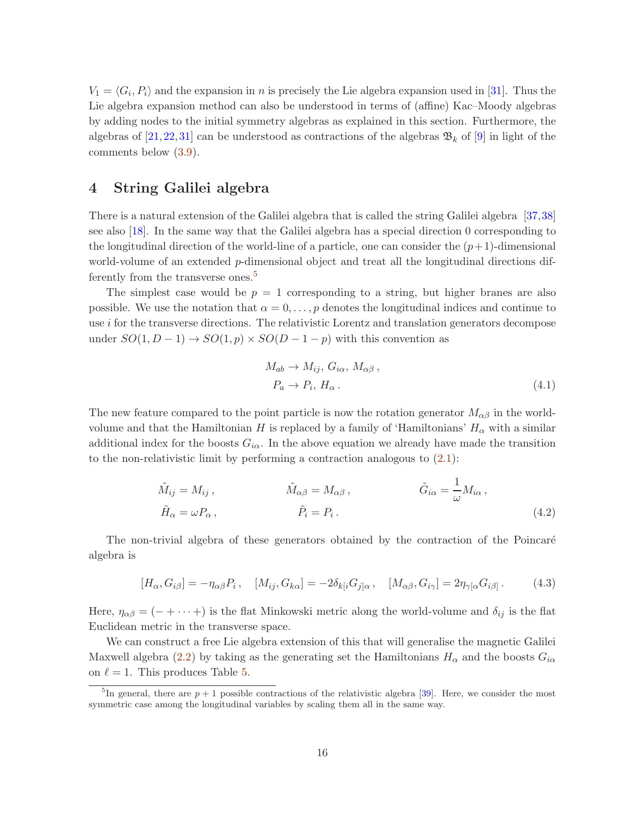$V_1 = \langle G_i, P_i \rangle$  and the expansion in n is precisely the Lie algebra expansion used in [\[31\]](#page-19-10). Thus the Lie algebra expansion method can also be understood in terms of (affine) Kac–Moody algebras by adding nodes to the initial symmetry algebras as explained in this section. Furthermore, the algebras of [\[21,](#page-18-11) [22,](#page-18-7) [31\]](#page-19-10) can be understood as contractions of the algebras  $\mathfrak{B}_k$  of [\[9\]](#page-17-6) in light of the comments below [\(3.9\)](#page-13-1).

# <span id="page-15-0"></span>4 String Galilei algebra

There is a natural extension of the Galilei algebra that is called the string Galilei algebra [\[37,](#page-19-2)[38\]](#page-19-3) see also [\[18\]](#page-18-4). In the same way that the Galilei algebra has a special direction 0 corresponding to the longitudinal direction of the world-line of a particle, one can consider the  $(p+1)$ -dimensional world-volume of an extended p-dimensional object and treat all the longitudinal directions dif-ferently from the transverse ones.<sup>[5](#page-15-1)</sup>

The simplest case would be  $p = 1$  corresponding to a string, but higher branes are also possible. We use the notation that  $\alpha = 0, \ldots, p$  denotes the longitudinal indices and continue to use i for the transverse directions. The relativistic Lorentz and translation generators decompose under  $SO(1, D-1) \rightarrow SO(1, p) \times SO(D-1-p)$  with this convention as

$$
M_{ab} \to M_{ij}, G_{i\alpha}, M_{\alpha\beta},
$$
  
\n
$$
P_a \to P_i, H_\alpha.
$$
\n(4.1)

The new feature compared to the point particle is now the rotation generator  $M_{\alpha\beta}$  in the worldvolume and that the Hamiltonian H is replaced by a family of 'Hamiltonians'  $H_{\alpha}$  with a similar additional index for the boosts  $G_{i\alpha}$ . In the above equation we already have made the transition to the non-relativistic limit by performing a contraction analogous to  $(2.1)$ :

$$
\tilde{M}_{ij} = M_{ij}, \qquad \qquad \tilde{M}_{\alpha\beta} = M_{\alpha\beta}, \qquad \qquad \tilde{G}_{i\alpha} = \frac{1}{\omega} M_{i\alpha},
$$
\n
$$
\tilde{H}_{\alpha} = \omega P_{\alpha}, \qquad \qquad \tilde{P}_{i} = P_{i}. \qquad (4.2)
$$

The non-trivial algebra of these generators obtained by the contraction of the Poincaré algebra is

$$
[H_{\alpha}, G_{i\beta}] = -\eta_{\alpha\beta} P_i, \quad [M_{ij}, G_{k\alpha}] = -2\delta_{k[i} G_{j]\alpha}, \quad [M_{\alpha\beta}, G_{i\gamma}] = 2\eta_{\gamma[\alpha} G_{i\beta]}.
$$
 (4.3)

Here,  $\eta_{\alpha\beta} = (- + \cdots +)$  is the flat Minkowski metric along the world-volume and  $\delta_{ij}$  is the flat Euclidean metric in the transverse space.

We can construct a free Lie algebra extension of this that will generalise the magnetic Galilei Maxwell algebra [\(2.2\)](#page-4-1) by taking as the generating set the Hamiltonians  $H_{\alpha}$  and the boosts  $G_{i\alpha}$ on  $\ell = 1$ . This produces Table [5.](#page-16-0)

<span id="page-15-1"></span><sup>&</sup>lt;sup>5</sup>In general, there are  $p + 1$  possible contractions of the relativistic algebra [\[39\]](#page-19-4). Here, we consider the most symmetric case among the longitudinal variables by scaling them all in the same way.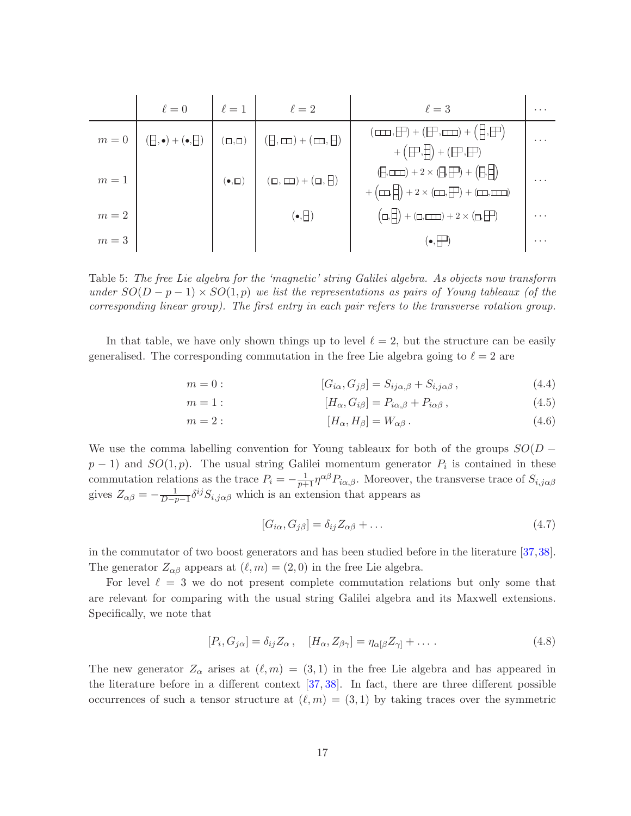|       | $\ell=0$                                      | $\ell=1$             | $\ell=2$                                      | $\ell=3$                                                                                                                                                                       | $\cdot$ $\cdot$ $\cdot$ |
|-------|-----------------------------------------------|----------------------|-----------------------------------------------|--------------------------------------------------------------------------------------------------------------------------------------------------------------------------------|-------------------------|
|       | $m=0$ $(\exists,\bullet) + (\bullet,\exists)$ |                      | $(\Box, \Box)$ $(\Box, \Box) + (\Box, \Box)$  | $(\Box\Box\Box,\Box\Box) + (\Box\Box\Box) + (\Box\Box\Box)$<br>$+ ( \Box \overline{\Box} \cdot \overline{\Box} \cdot ) + ( \Box \overline{\Box} \cdot \overline{\Box} \cdot )$ | $\cdot$ .               |
| $m=1$ |                                               | $(\bullet, \square)$ | $(\Box,\Box\hspace{-0.12cm}\Box)+(\Box,\Box)$ | $(\exists, \Box \Box) + 2 \times (\exists, \Box') + (\exists, \Box)$<br>$+\left(\Box\Box,\Box\right)+2\times\left(\Box\Box,\Box\right)+\left(\Box\Box,\Box\Box\right)$         |                         |
| $m=2$ |                                               |                      | $(\bullet, \Box)$                             | $(\Box, \Box) + (\Box, \Box \Box) + 2 \times (\Box, \Box \Box)$                                                                                                                | $\cdots$                |
| $m=3$ |                                               |                      |                                               | $(\bullet, \vdash)$                                                                                                                                                            | $\cdot$ $\cdot$ $\cdot$ |

<span id="page-16-0"></span>Table 5: The free Lie algebra for the 'magnetic' string Galilei algebra. As objects now transform under  $SO(D-p-1) \times SO(1,p)$  we list the representations as pairs of Young tableaux (of the corresponding linear group). The first entry in each pair refers to the transverse rotation group.

In that table, we have only shown things up to level  $\ell = 2$ , but the structure can be easily generalised. The corresponding commutation in the free Lie algebra going to  $\ell = 2$  are

$$
m = 0: \qquad [G_{i\alpha}, G_{j\beta}] = S_{ij\alpha,\beta} + S_{i,j\alpha\beta}, \qquad (4.4)
$$

$$
m = 1: \qquad [H_{\alpha}, G_{i\beta}] = P_{i\alpha,\beta} + P_{i\alpha\beta}, \qquad (4.5)
$$

$$
m = 2: \qquad [H_{\alpha}, H_{\beta}] = W_{\alpha\beta}.
$$
\n
$$
(4.6)
$$

We use the comma labelling convention for Young tableaux for both of the groups  $SO(D$  $p-1$ ) and  $SO(1, p)$ . The usual string Galilei momentum generator  $P_i$  is contained in these commutation relations as the trace  $P_i = -\frac{1}{p+1} \eta^{\alpha\beta} P_{i\alpha,\beta}$ . Moreover, the transverse trace of  $S_{i,j\alpha\beta}$ gives  $Z_{\alpha\beta} = -\frac{1}{D-p-1} \delta^{ij} S_{i,j\alpha\beta}$  which is an extension that appears as

$$
[G_{i\alpha}, G_{j\beta}] = \delta_{ij} Z_{\alpha\beta} + \dots \tag{4.7}
$$

in the commutator of two boost generators and has been studied before in the literature [\[37,](#page-19-2)[38\]](#page-19-3). The generator  $Z_{\alpha\beta}$  appears at  $(\ell, m) = (2, 0)$  in the free Lie algebra.

For level  $\ell = 3$  we do not present complete commutation relations but only some that are relevant for comparing with the usual string Galilei algebra and its Maxwell extensions. Specifically, we note that

$$
[P_i, G_{j\alpha}] = \delta_{ij} Z_{\alpha} , \quad [H_{\alpha}, Z_{\beta\gamma}] = \eta_{\alpha[\beta} Z_{\gamma]} + \dots \tag{4.8}
$$

The new generator  $Z_{\alpha}$  arises at  $(\ell, m) = (3, 1)$  in the free Lie algebra and has appeared in the literature before in a different context [\[37,](#page-19-2) [38\]](#page-19-3). In fact, there are three different possible occurrences of such a tensor structure at  $(\ell, m) = (3, 1)$  by taking traces over the symmetric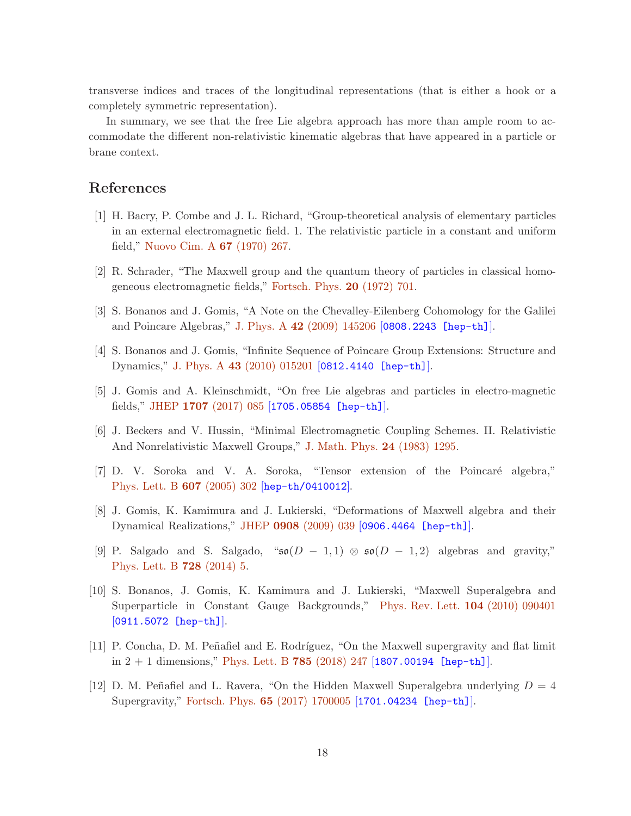transverse indices and traces of the longitudinal representations (that is either a hook or a completely symmetric representation).

In summary, we see that the free Lie algebra approach has more than ample room to accommodate the different non-relativistic kinematic algebras that have appeared in a particle or brane context.

# <span id="page-17-0"></span>References

- [1] H. Bacry, P. Combe and J. L. Richard, "Group-theoretical analysis of elementary particles in an external electromagnetic field. 1. The relativistic particle in a constant and uniform field," [Nuovo Cim. A](http://dx.doi.org/doi:10.1007/BF02725178) 67 (1970) 267.
- <span id="page-17-2"></span><span id="page-17-1"></span>[2] R. Schrader, "The Maxwell group and the quantum theory of particles in classical homogeneous electromagnetic fields," [Fortsch. Phys.](http://dx.doi.org/doi:10.1002/prop.19720201202) 20 (1972) 701.
- <span id="page-17-3"></span>[3] S. Bonanos and J. Gomis, "A Note on the Chevalley-Eilenberg Cohomology for the Galilei and Poincare Algebras," J. Phys. A 42 [\(2009\) 145206](http://dx.doi.org/doi:10.1088/1751-8113/42/14/145206) [[0808.2243 \[hep-th\]](http://arxiv.org/abs/0808.2243)].
- <span id="page-17-4"></span>[4] S. Bonanos and J. Gomis, "Infinite Sequence of Poincare Group Extensions: Structure and Dynamics," J. Phys. A 43 [\(2010\) 015201](http://dx.doi.org/doi:10.1088/1751-8113/43/1/015201) [[0812.4140 \[hep-th\]](http://arxiv.org/abs/0812.4140)].
- <span id="page-17-5"></span>[5] J. Gomis and A. Kleinschmidt, "On free Lie algebras and particles in electro-magnetic fields," JHEP 1707 [\(2017\) 085](http://dx.doi.org/doi:10.1007/JHEP07(2017)085) [[1705.05854 \[hep-th\]](http://arxiv.org/abs/1705.05854)].
- [6] J. Beckers and V. Hussin, "Minimal Electromagnetic Coupling Schemes. II. Relativistic And Nonrelativistic Maxwell Groups," [J. Math. Phys.](http://dx.doi.org/doi:10.1063/1.525811) 24 (1983) 1295.
- [7] D. V. Soroka and V. A. Soroka, "Tensor extension of the Poincaré algebra," [Phys. Lett. B](http://dx.doi.org/doi:10.1016/j.physletb.2004.12.075) 607 (2005) 302 [[hep-th/0410012](http://arxiv.org/abs/hep-th/0410012)].
- <span id="page-17-6"></span>[8] J. Gomis, K. Kamimura and J. Lukierski, "Deformations of Maxwell algebra and their Dynamical Realizations," JHEP 0908 [\(2009\) 039](http://dx.doi.org/doi:10.1088/1126-6708/2009/08/039) [[0906.4464 \[hep-th\]](http://arxiv.org/abs/0906.4464)].
- [9] P. Salgado and S. Salgado, " $\mathfrak{so}(D-1,1) \otimes \mathfrak{so}(D-1,2)$  algebras and gravity," [Phys. Lett. B](http://dx.doi.org/doi:10.1016/j.physletb.2013.11.009) 728 (2014) 5.
- <span id="page-17-7"></span>[10] S. Bonanos, J. Gomis, K. Kamimura and J. Lukierski, "Maxwell Superalgebra and Superparticle in Constant Gauge Backgrounds," [Phys. Rev. Lett.](http://dx.doi.org/doi:10.1103/PhysRevLett.104.090401) 104 (2010) 090401 [[0911.5072 \[hep-th\]](http://arxiv.org/abs/0911.5072)].
- [11] P. Concha, D. M. Peñafiel and E. Rodríguez, "On the Maxwell supergravity and flat limit in  $2 + 1$  dimensions," [Phys. Lett. B](http://dx.doi.org/doi:10.1016/j.physletb.2018.08.050) 785 (2018) 247 [[1807.00194 \[hep-th\]](http://arxiv.org/abs/1807.00194)].
- [12] D. M. Peñafiel and L. Ravera, "On the Hidden Maxwell Superalgebra underlying  $D = 4$ Supergravity," Fortsch. Phys. 65 [\(2017\) 1700005](http://dx.doi.org/doi:10.1002/prop.201700005) [[1701.04234 \[hep-th\]](http://arxiv.org/abs/1701.04234)].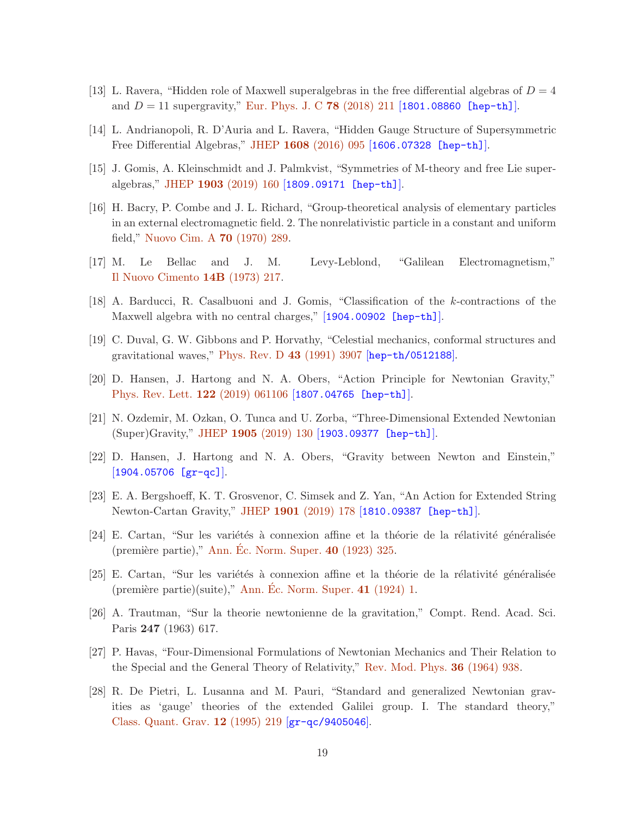- [13] L. Ravera, "Hidden role of Maxwell superalgebras in the free differential algebras of  $D = 4$ and  $D = 11$  supergravity," [Eur. Phys. J. C](http://dx.doi.org/doi:10.1140/epjc/s10052-018-5673-8) 78 (2018) 211 [[1801.08860 \[hep-th\]](http://arxiv.org/abs/1801.08860)].
- <span id="page-18-0"></span>[14] L. Andrianopoli, R. D'Auria and L. Ravera, "Hidden Gauge Structure of Supersymmetric Free Differential Algebras," JHEP 1608 [\(2016\) 095](http://dx.doi.org/doi:10.1007/JHEP08(2016)095) [[1606.07328 \[hep-th\]](http://arxiv.org/abs/1606.07328)].
- <span id="page-18-1"></span>[15] J. Gomis, A. Kleinschmidt and J. Palmkvist, "Symmetries of M-theory and free Lie superalgebras," JHEP 1903 [\(2019\) 160](http://dx.doi.org/doi:10.1007/JHEP03(2019)160) [[1809.09171 \[hep-th\]](http://arxiv.org/abs/1809.09171)].
- [16] H. Bacry, P. Combe and J. L. Richard, "Group-theoretical analysis of elementary particles in an external electromagnetic field. 2. The nonrelativistic particle in a constant and uniform field," [Nuovo Cim. A](http://dx.doi.org/doi:10.1007/BF02725375) 70 (1970) 289.
- <span id="page-18-4"></span><span id="page-18-2"></span>[17] M. Le Bellac and J. M. Levy-Leblond, "Galilean Electromagnetism," [Il Nuovo Cimento](http://dx.doi.org/doi:10.1007/BF02895715) 14B (1973) 217.
- <span id="page-18-3"></span>[18] A. Barducci, R. Casalbuoni and J. Gomis, "Classification of the k-contractions of the Maxwell algebra with no central charges," [[1904.00902 \[hep-th\]](http://arxiv.org/abs/1904.00902)].
- <span id="page-18-5"></span>[19] C. Duval, G. W. Gibbons and P. Horvathy, "Celestial mechanics, conformal structures and gravitational waves," [Phys. Rev. D](http://dx.doi.org/doi:10.1103/PhysRevD.43.3907) 43 (1991) 3907 [[hep-th/0512188](http://arxiv.org/abs/hep-th/0512188)].
- <span id="page-18-11"></span>[20] D. Hansen, J. Hartong and N. A. Obers, "Action Principle for Newtonian Gravity," [Phys. Rev. Lett.](http://dx.doi.org/doi:10.1103/PhysRevLett.122.061106) 122 (2019) 061106 [[1807.04765 \[hep-th\]](http://arxiv.org/abs/1807.04765)].
- <span id="page-18-7"></span>[21] N. Ozdemir, M. Ozkan, O. Tunca and U. Zorba, "Three-Dimensional Extended Newtonian (Super)Gravity," JHEP 1905 [\(2019\) 130](http://dx.doi.org/doi:10.1007/JHEP05(2019)130) [[1903.09377 \[hep-th\]](http://arxiv.org/abs/1903.09377)].
- <span id="page-18-6"></span>[22] D. Hansen, J. Hartong and N. A. Obers, "Gravity between Newton and Einstein," [[1904.05706 \[gr-qc\]](http://arxiv.org/abs/1904.05706)].
- <span id="page-18-8"></span>[23] E. A. Bergshoeff, K. T. Grosvenor, C. Simsek and Z. Yan, "An Action for Extended String Newton-Cartan Gravity," JHEP 1901 [\(2019\) 178](http://dx.doi.org/doi:10.1007/JHEP01(2019)178) [[1810.09387 \[hep-th\]](http://arxiv.org/abs/1810.09387)].
- [24] E. Cartan, "Sur les variétés à connexion affine et la théorie de la rélativité généralisée (première partie)," Ann. Éc. Norm. Super.  $40$  (1923) 325.
- <span id="page-18-10"></span>[25] E. Cartan, "Sur les variétés à connexion affine et la théorie de la rélativité généralisée (première partie)(suite)," Ann. [Ec. Norm. Super.](http://www.numdam.org/item?id=BSMF_1924__52__205_0)  $41$  (1924) 1.
- <span id="page-18-9"></span>[26] A. Trautman, "Sur la theorie newtonienne de la gravitation," Compt. Rend. Acad. Sci. Paris 247 (1963) 617.
- [27] P. Havas, "Four-Dimensional Formulations of Newtonian Mechanics and Their Relation to the Special and the General Theory of Relativity," [Rev. Mod. Phys.](http://dx.doi.org/doi:10.1103/RevModPhys.36.938) 36 (1964) 938.
- [28] R. De Pietri, L. Lusanna and M. Pauri, "Standard and generalized Newtonian gravities as 'gauge' theories of the extended Galilei group. I. The standard theory," [Class. Quant. Grav.](http://dx.doi.org/doi:10.1088/0264-9381/12/1/019) 12 (1995) 219 [[gr-qc/9405046](http://arxiv.org/abs/gr-qc/9405046)].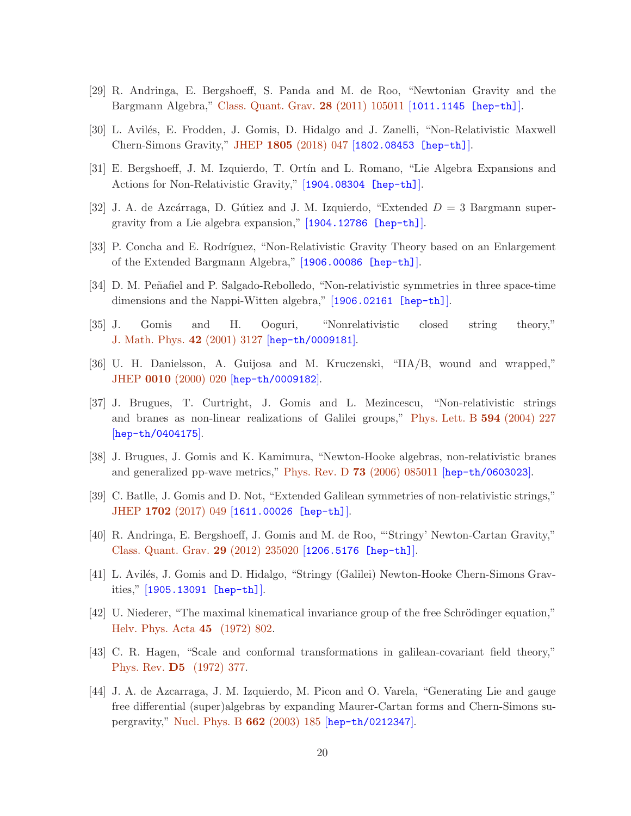- <span id="page-19-12"></span>[29] R. Andringa, E. Bergshoeff, S. Panda and M. de Roo, "Newtonian Gravity and the Bargmann Algebra," [Class. Quant. Grav.](http://dx.doi.org/doi:10.1088/0264-9381/28/10/105011) 28 (2011) 105011 [[1011.1145 \[hep-th\]](http://arxiv.org/abs/1011.1145)].
- <span id="page-19-10"></span>[30] L. Avilés, E. Frodden, J. Gomis, D. Hidalgo and J. Zanelli, "Non-Relativistic Maxwell" Chern-Simons Gravity," JHEP 1805 [\(2018\) 047](http://dx.doi.org/doi:10.1007/JHEP05(2018)047) [[1802.08453 \[hep-th\]](http://arxiv.org/abs/1802.08453)].
- [31] E. Bergshoeff, J. M. Izquierdo, T. Ortín and L. Romano, "Lie Algebra Expansions and Actions for Non-Relativistic Gravity," [[1904.08304 \[hep-th\]](http://arxiv.org/abs/1904.08304)].
- [32] J. A. de Azcárraga, D. Gútiez and J. M. Izquierdo, "Extended  $D = 3$  Bargmann supergravity from a Lie algebra expansion," [[1904.12786 \[hep-th\]](http://arxiv.org/abs/1904.12786)].
- <span id="page-19-0"></span>[33] P. Concha and E. Rodríguez, "Non-Relativistic Gravity Theory based on an Enlargement of the Extended Bargmann Algebra," [[1906.00086 \[hep-th\]](http://arxiv.org/abs/1906.00086)].
- <span id="page-19-1"></span>[34] D. M. Peñafiel and P. Salgado-Rebolledo, "Non-relativistic symmetries in three space-time dimensions and the Nappi-Witten algebra," [[1906.02161 \[hep-th\]](http://arxiv.org/abs/1906.02161)].
- <span id="page-19-11"></span>[35] J. Gomis and H. Ooguri, "Nonrelativistic closed string theory," [J. Math. Phys.](http://dx.doi.org/doi:10.1063/1.1372697) 42 (2001) 3127 [[hep-th/0009181](http://arxiv.org/abs/hep-th/0009181)].
- <span id="page-19-2"></span>[36] U. H. Danielsson, A. Guijosa and M. Kruczenski, "IIA/B, wound and wrapped," JHEP 0010 [\(2000\) 020](http://dx.doi.org/doi:10.1088/1126-6708/2000/10/020) [[hep-th/0009182](http://arxiv.org/abs/hep-th/0009182)].
- [37] J. Brugues, T. Curtright, J. Gomis and L. Mezincescu, "Non-relativistic strings and branes as non-linear realizations of Galilei groups," [Phys. Lett. B](http://dx.doi.org/doi:10.1016/j.physletb.2004.05.024) 594 (2004) 227  $[hep-th/0404175]$  $[hep-th/0404175]$  $[hep-th/0404175]$ .
- <span id="page-19-4"></span><span id="page-19-3"></span>[38] J. Brugues, J. Gomis and K. Kamimura, "Newton-Hooke algebras, non-relativistic branes and generalized pp-wave metrics," Phys. Rev. D  $73$  [\(2006\) 085011](http://dx.doi.org/doi:10.1103/PhysRevD.73.085011) [[hep-th/0603023](http://arxiv.org/abs/hep-th/0603023)].
- <span id="page-19-5"></span>[39] C. Batlle, J. Gomis and D. Not, "Extended Galilean symmetries of non-relativistic strings," JHEP 1702 [\(2017\) 049](http://dx.doi.org/doi:10.1007/JHEP02(2017)049) [[1611.00026 \[hep-th\]](http://arxiv.org/abs/1611.00026)].
- <span id="page-19-6"></span>[40] R. Andringa, E. Bergshoeff, J. Gomis and M. de Roo, "'Stringy' Newton-Cartan Gravity," [Class. Quant. Grav.](http://dx.doi.org/doi:10.1088/0264-9381/29/23/235020) 29 (2012) 235020 [[1206.5176 \[hep-th\]](http://arxiv.org/abs/1206.5176)].
- <span id="page-19-7"></span>[41] L. Avilés, J. Gomis and D. Hidalgo, "Stringy (Galilei) Newton-Hooke Chern-Simons Gravities," [[1905.13091 \[hep-th\]](http://arxiv.org/abs/1905.13091)].
- <span id="page-19-8"></span>[42] U. Niederer, "The maximal kinematical invariance group of the free Schrödinger equation," [Helv. Phys. Acta](http://dx.doi.org/doi:10.5169/seals-114417) 45 (1972) 802.
- <span id="page-19-9"></span>[43] C. R. Hagen, "Scale and conformal transformations in galilean-covariant field theory," [Phys. Rev.](http://dx.doi.org/10.1103/PhysRevD.5.377) D5 (1972) 377.
- [44] J. A. de Azcarraga, J. M. Izquierdo, M. Picon and O. Varela, "Generating Lie and gauge free differential (super)algebras by expanding Maurer-Cartan forms and Chern-Simons supergravity," [Nucl. Phys. B](http://dx.doi.org/doi:10.1016/S0550-3213(03)00342-0) 662 (2003) 185 [[hep-th/0212347](http://arxiv.org/abs/hep-th/0212347)].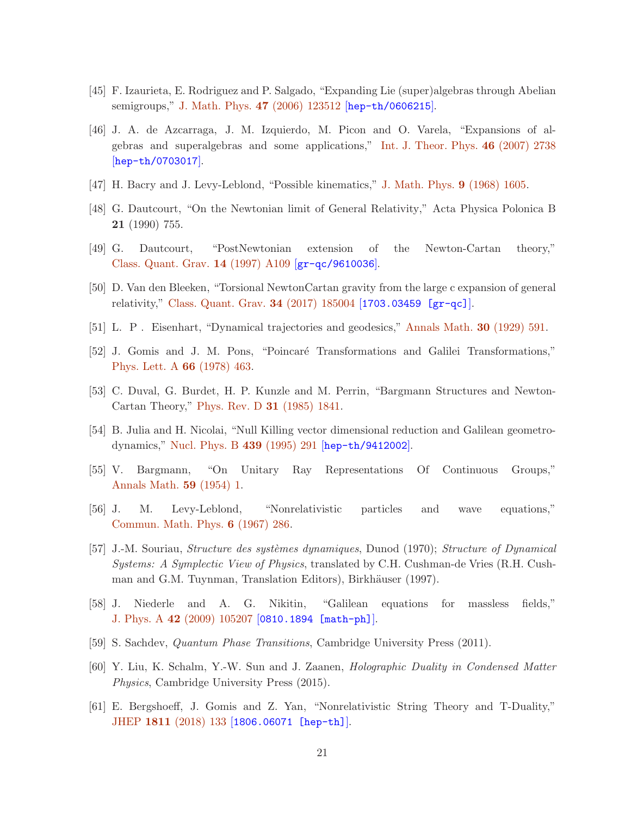- <span id="page-20-0"></span>[45] F. Izaurieta, E. Rodriguez and P. Salgado, "Expanding Lie (super)algebras through Abelian semigroups," [J. Math. Phys.](http://dx.doi.org/doi:10.1063/1.2390659) 47 (2006) 123512 [[hep-th/0606215](http://arxiv.org/abs/hep-th/0606215)].
- [46] J. A. de Azcarraga, J. M. Izquierdo, M. Picon and O. Varela, "Expansions of algebras and superalgebras and some applications," [Int. J. Theor. Phys.](http://dx.doi.org/doi:10.1007/s10773-007-9385-3) 46 (2007) 2738 [[hep-th/0703017](http://arxiv.org/abs/hep-th/0703017)].
- <span id="page-20-1"></span>[47] H. Bacry and J. Levy-Leblond, "Possible kinematics," [J. Math. Phys.](http://dx.doi.org/doi:10.1063/1.1664490) 9 (1968) 1605.
- [48] G. Dautcourt, "On the Newtonian limit of General Relativity," Acta Physica Polonica B 21 (1990) 755.
- <span id="page-20-2"></span>[49] G. Dautcourt, "PostNewtonian extension of the Newton-Cartan theory," [Class. Quant. Grav.](http://dx.doi.org/doi:10.1088/0264-9381/14/1A/009) 14 (1997) A109 [[gr-qc/9610036](http://arxiv.org/abs/gr-qc/9610036)].
- <span id="page-20-3"></span>[50] D. Van den Bleeken, "Torsional NewtonCartan gravity from the large c expansion of general relativity," [Class. Quant. Grav.](http://dx.doi.org/doi:10.1088/1361-6382/aa83d4) 34 (2017) 185004 [[1703.03459 \[gr-qc\]](http://arxiv.org/abs/1703.03459)].
- [51] L. P . Eisenhart, "Dynamical trajectories and geodesics," [Annals Math.](http://dx.doi.org/10.2307/1968307) 30 (1929) 591.
- [52] J. Gomis and J. M. Pons, "Poincaré Transformations and Galilei Transformations," [Phys. Lett. A](http://dx.doi.org/doi:10.1016/0375-9601(78)90397-3) 66 (1978) 463.
- <span id="page-20-4"></span>[53] C. Duval, G. Burdet, H. P. Kunzle and M. Perrin, "Bargmann Structures and Newton-Cartan Theory," [Phys. Rev. D](http://dx.doi.org/doi:10.1103/PhysRevD.31.1841) 31 (1985) 1841.
- <span id="page-20-5"></span>[54] B. Julia and H. Nicolai, "Null Killing vector dimensional reduction and Galilean geometrodynamics," [Nucl. Phys. B](http://dx.doi.org/doi:10.1016/0550-3213(94)00584-2) 439 (1995) 291 [[hep-th/9412002](http://arxiv.org/abs/hep-th/9412002)].
- [55] V. Bargmann, "On Unitary Ray Representations Of Continuous Groups," [Annals Math.](http://dx.doi.org/doi:10.2307/1969831) 59 (1954) 1.
- [56] J. M. Levy-Leblond, "Nonrelativistic particles and wave equations," [Commun. Math. Phys.](http://dx.doi.org/doi:10.1007/BF01646020) 6 (1967) 286.
- [57] J.-M. Souriau, *Structure des systèmes dynamiques*, Dunod (1970); *Structure of Dynamical* Systems: A Symplectic View of Physics, translated by C.H. Cushman-de Vries (R.H. Cushman and G.M. Tuynman, Translation Editors), Birkhäuser (1997).
- <span id="page-20-7"></span><span id="page-20-6"></span>[58] J. Niederle and A. G. Nikitin, "Galilean equations for massless fields," J. Phys. A 42 [\(2009\) 105207](http://dx.doi.org/doi:10.1088/1751-8113/42/10/105207) [[0810.1894 \[math-ph\]](http://arxiv.org/abs/0810.1894)].
- <span id="page-20-8"></span>[59] S. Sachdev, Quantum Phase Transitions, Cambridge University Press (2011).
- <span id="page-20-9"></span>[60] Y. Liu, K. Schalm, Y.-W. Sun and J. Zaanen, Holographic Duality in Condensed Matter Physics, Cambridge University Press (2015).
- [61] E. Bergshoeff, J. Gomis and Z. Yan, "Nonrelativistic String Theory and T-Duality," JHEP 1811 [\(2018\) 133](http://dx.doi.org/doi:10.1007/JHEP11(2018)133) [[1806.06071 \[hep-th\]](http://arxiv.org/abs/1806.06071)].